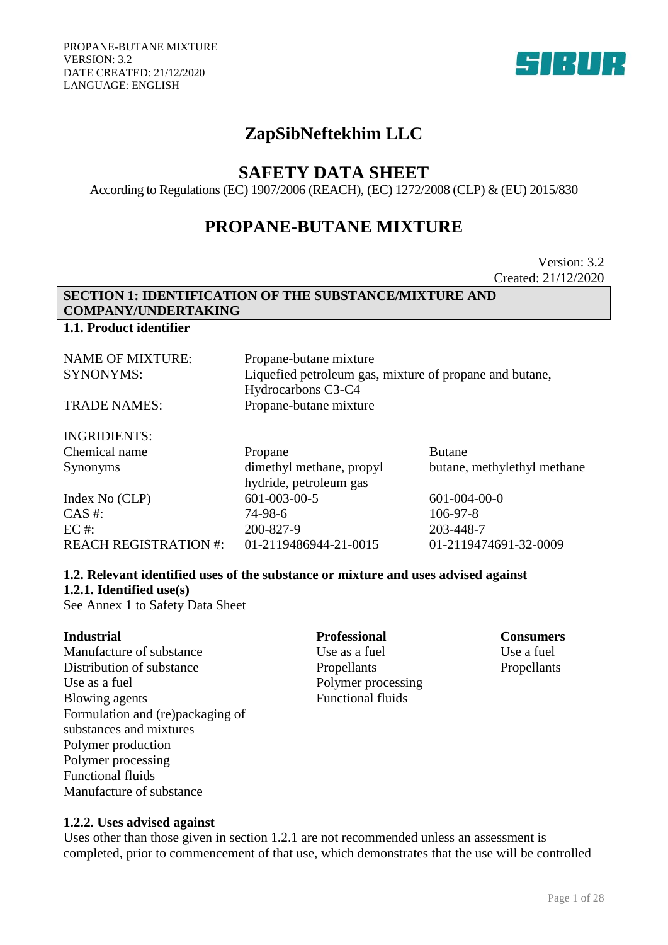

# **ZapSibNeftekhim LLC**

# **SAFETY DATA SHEET**

According to Regulations (EC) 1907/2006 (REACH), (EC) 1272/2008 (CLP) & (EU) 2015/830

# **PROPANE-BUTANE MIXTURE**

Version: 3.2 Created: 21/12/2020

# **SECTION 1: IDENTIFICATION OF THE SUBSTANCE/MIXTURE AND COMPANY/UNDERTAKING**

# **1.1. Product identifier**

NAME OF MIXTURE: Propane-butane mixture SYNONYMS: Liquefied petroleum gas, mixture of propane and butane,

TRADE NAMES: Propane-butane mixture

# INGRIDIENTS:

Index No (CLP) 601-003-00-5 601-004-00-0 CAS #: 24-98-6 106-97-8 EC #: 200-827-9 203-448-7 REACH REGISTRATION #: 01-2119486944-21-0015 01-2119474691-32-0009

Chemical name Propane Propane Butane Synonyms dimethyl methane, propyl hydride, petroleum gas

Hydrocarbons C3-C4

butane, methylethyl methane

#### **1.2. Relevant identified uses of the substance or mixture and uses advised against 1.2.1. Identified use(s)**

See Annex 1 to Safety Data Sheet

# **Industrial**

Manufacture of substance Distribution of substance Use as a fuel Blowing agents Formulation and (re)packaging of substances and mixtures Polymer production Polymer processing Functional fluids Manufacture of substance

**Professional** Use as a fuel **Propellants** Polymer processing Functional fluids

# **Consumers** Use a fuel **Propellants**

**1.2.2. Uses advised against**

Uses other than those given in section 1.2.1 are not recommended unless an assessment is completed, prior to commencement of that use, which demonstrates that the use will be controlled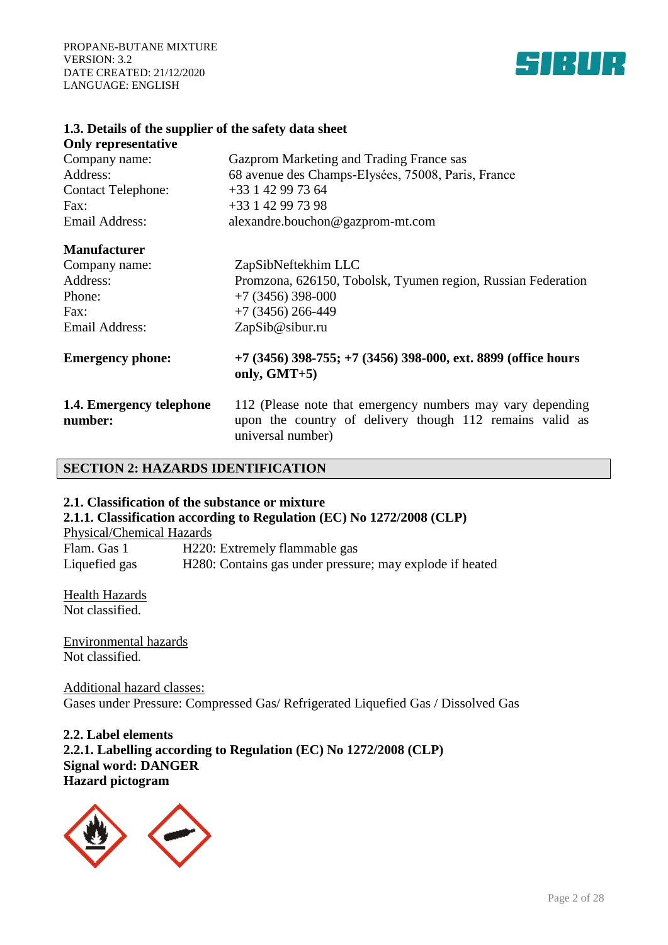PROPANE-BUTANE MIXTURE VERSION: 3.2 DATE CREATED: 21/12/2020 LANGUAGE: ENGLISH



## **1.3. Details of the supplier of the safety data sheet**

#### **Only representative**

| Company name:             | Gazprom Marketing and Trading France sas           |
|---------------------------|----------------------------------------------------|
| Address:                  | 68 avenue des Champs-Elysées, 75008, Paris, France |
| <b>Contact Telephone:</b> | $+33142997364$                                     |
| Fax:                      | $+33142997398$                                     |
| Email Address:            | alexandre.bouchon@gazprom-mt.com                   |

#### **Manufacturer**

**number:**

| -vialiulattui ti         |                                                                                    |
|--------------------------|------------------------------------------------------------------------------------|
| Company name:            | ZapSibNeftekhim LLC                                                                |
| Address:                 | Promzona, 626150, Tobolsk, Tyumen region, Russian Federation                       |
| Phone:                   | $+7$ (3456) 398-000                                                                |
| Fax:                     | $+7(3456)266-449$                                                                  |
| Email Address:           | ZapSib@sibur.ru                                                                    |
| <b>Emergency phone:</b>  | $+7$ (3456) 398-755; $+7$ (3456) 398-000, ext. 8899 (office hours<br>only, $GMT+5$ |
| 1.4. Emergency telephone | 112 (Please note that emergency numbers may vary depending                         |

upon the country of delivery though 112 remains valid as

# **SECTION 2: HAZARDS IDENTIFICATION**

# **2.1. Classification of the substance or mixture**

#### **2.1.1. Classification according to Regulation (EC) No 1272/2008 (CLP)**

Physical/Chemical Hazards

Flam. Gas 1 H220: Extremely flammable gas Liquefied gas H280: Contains gas under pressure; may explode if heated

universal number)

Health Hazards Not classified.

Environmental hazards Not classified.

Additional hazard classes: Gases under Pressure: Compressed Gas/ Refrigerated Liquefied Gas / Dissolved Gas

**2.2. Label elements 2.2.1. Labelling according to Regulation (EC) No 1272/2008 (CLP) Signal word: DANGER Hazard pictogram**

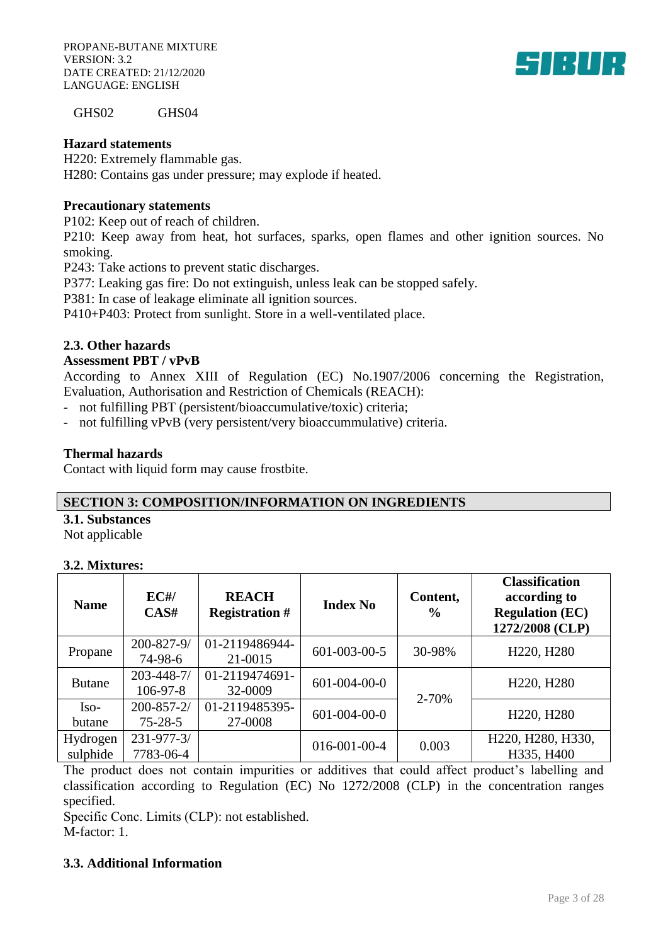

GHS02 GHS04

# **Hazard statements**

H220: Extremely flammable gas.

H280: Contains gas under pressure; may explode if heated.

#### **Precautionary statements**

P102: Keep out of reach of children.

P210: Keep away from heat, hot surfaces, sparks, open flames and other ignition sources. No smoking.

P243: Take actions to prevent static discharges.

P377: Leaking gas fire: Do not extinguish, unless leak can be stopped safely.

P381: In case of leakage eliminate all ignition sources.

P410+P403: Protect from sunlight. Store in a well-ventilated place.

## **2.3. Other hazards**

#### **Assessment PBT / vPvB**

According to Annex XIII of Regulation (EC) No.1907/2006 concerning the Registration, Evaluation, Authorisation and Restriction of Chemicals (REACH):

- not fulfilling PBT (persistent/bioaccumulative/toxic) criteria;
- not fulfilling vPvB (very persistent/very bioaccummulative) criteria.

## **Thermal hazards**

Contact with liquid form may cause frostbite.

#### **SECTION 3: COMPOSITION/INFORMATION ON INGREDIENTS**

#### **3.1. Substances**

Not applicable

#### **3.2. Mixtures:**

| <b>Name</b>          | EC#/<br>CAS#                      | <b>REACH</b><br><b>Registration #</b> | <b>Index No</b>      | Content,<br>$\frac{6}{9}$ | <b>Classification</b><br>according to<br><b>Regulation (EC)</b><br>1272/2008 (CLP) |
|----------------------|-----------------------------------|---------------------------------------|----------------------|---------------------------|------------------------------------------------------------------------------------|
| Propane              | 200-827-9/<br>74-98-6             | 01-2119486944-<br>21-0015             | $601 - 003 - 00 - 5$ | 30-98%                    | H220, H280                                                                         |
| <b>Butane</b>        | 203-448-7/<br>$106 - 97 - 8$      | 01-2119474691-<br>32-0009             | $601 - 004 - 00 - 0$ |                           | H <sub>220</sub> , H <sub>280</sub>                                                |
| $Iso-$<br>butane     | $200 - 857 - 2/$<br>$75 - 28 - 5$ | 01-2119485395-<br>27-0008             | $601 - 004 - 00 - 0$ | $2 - 70%$                 | H220, H280                                                                         |
| Hydrogen<br>sulphide | $231 - 977 - 3/$<br>7783-06-4     |                                       | $016 - 001 - 00 - 4$ | 0.003                     | H220, H280, H330,<br>H335, H400                                                    |

The product does not contain impurities or additives that could affect product's labelling and classification according to Regulation (EC) No 1272/2008 (CLP) in the concentration ranges specified.

Specific Conc. Limits (СLP): not established. M-factor: 1.

# **3.3. Additional Information**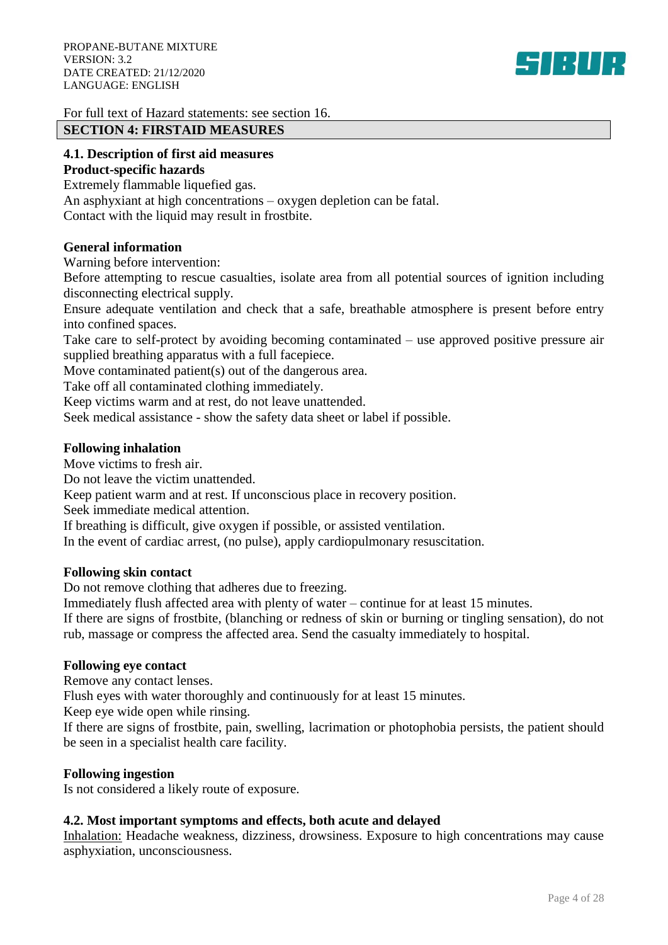

For full text of Hazard statements: see section 16.

## **SECTION 4: FIRSTAID MEASURES**

#### **4.1. Description of first aid measures**

#### **Product-specific hazards**

Extremely flammable liquefied gas. An asphyxiant at high concentrations – oxygen depletion can be fatal. Contact with the liquid may result in frostbite.

## **General information**

Warning before intervention:

Before attempting to rescue casualties, isolate area from all potential sources of ignition including disconnecting electrical supply.

Ensure adequate ventilation and check that a safe, breathable atmosphere is present before entry into confined spaces.

Take care to self-protect by avoiding becoming contaminated – use approved positive pressure air supplied breathing apparatus with a full facepiece.

Move contaminated patient(s) out of the dangerous area.

Take off all contaminated clothing immediately.

Keep victims warm and at rest, do not leave unattended.

Seek medical assistance - show the safety data sheet or label if possible.

## **Following inhalation**

Move victims to fresh air.

Do not leave the victim unattended.

Keep patient warm and at rest. If unconscious place in recovery position.

Seek immediate medical attention.

If breathing is difficult, give oxygen if possible, or assisted ventilation.

In the event of cardiac arrest, (no pulse), apply cardiopulmonary resuscitation.

# **Following skin contact**

Do not remove clothing that adheres due to freezing.

Immediately flush affected area with plenty of water – continue for at least 15 minutes.

If there are signs of frostbite, (blanching or redness of skin or burning or tingling sensation), do not rub, massage or compress the affected area. Send the casualty immediately to hospital.

#### **Following eye contact**

Remove any contact lenses.

Flush eyes with water thoroughly and continuously for at least 15 minutes.

Keep eye wide open while rinsing.

If there are signs of frostbite, pain, swelling, lacrimation or photophobia persists, the patient should be seen in a specialist health care facility.

# **Following ingestion**

Is not considered a likely route of exposure.

# **4.2. Most important symptoms and effects, both acute and delayed**

Inhalation: Headache weakness, dizziness, drowsiness. Exposure to high concentrations may cause asphyxiation, unconsciousness.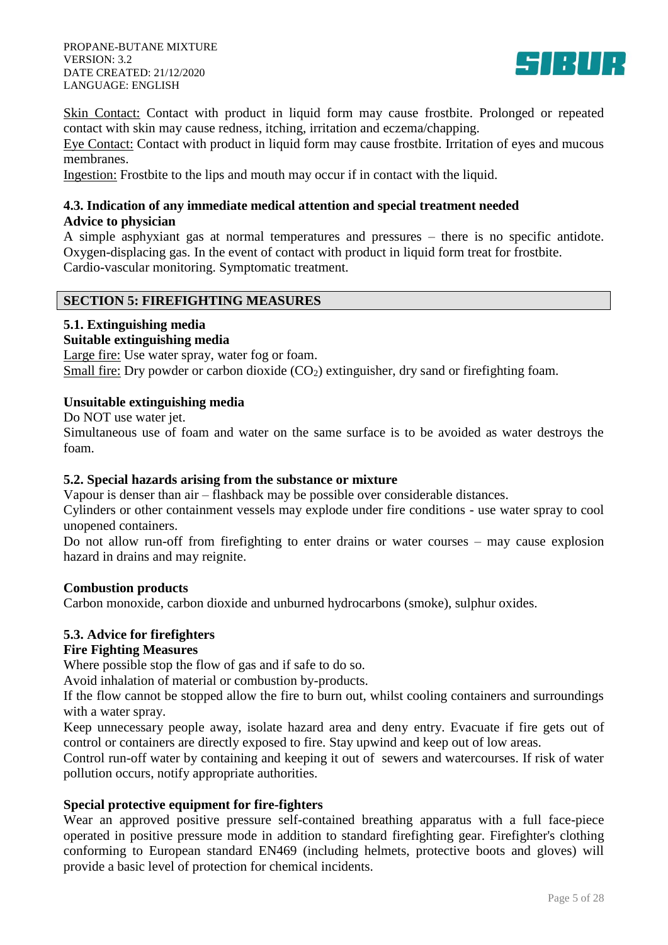PROPANE-BUTANE MIXTURE VERSION: 3.2 DATE CREATED: 21/12/2020 LANGUAGE: ENGLISH



Skin Contact: Contact with product in liquid form may cause frostbite. Prolonged or repeated contact with skin may cause redness, itching, irritation and eczema/chapping.

Eye Contact: Contact with product in liquid form may cause frostbite. Irritation of eyes and mucous membranes.

Ingestion: Frostbite to the lips and mouth may occur if in contact with the liquid.

# **4.3. Indication of any immediate medical attention and special treatment needed Advice to physician**

A simple asphyxiant gas at normal temperatures and pressures – there is no specific antidote. Oxygen-displacing gas. In the event of contact with product in liquid form treat for frostbite. Cardio-vascular monitoring. Symptomatic treatment.

# **SECTION 5: FIREFIGHTING MEASURES**

## **5.1. Extinguishing media**

## **Suitable extinguishing media**

Large fire: Use water spray, water fog or foam. Small fire: Dry powder or carbon dioxide  $(CO<sub>2</sub>)$  extinguisher, dry sand or firefighting foam.

## **Unsuitable extinguishing media**

Do NOT use water jet.

Simultaneous use of foam and water on the same surface is to be avoided as water destroys the foam.

# **5.2. Special hazards arising from the substance or mixture**

Vapour is denser than air – flashback may be possible over considerable distances.

Cylinders or other containment vessels may explode under fire conditions - use water spray to cool unopened containers.

Do not allow run-off from firefighting to enter drains or water courses – may cause explosion hazard in drains and may reignite.

#### **Combustion products**

Carbon monoxide, carbon dioxide and unburned hydrocarbons (smoke), sulphur oxides.

#### **5.3. Advice for firefighters**

#### **Fire Fighting Measures**

Where possible stop the flow of gas and if safe to do so.

Avoid inhalation of material or combustion by-products.

If the flow cannot be stopped allow the fire to burn out, whilst cooling containers and surroundings with a water spray.

Keep unnecessary people away, isolate hazard area and deny entry. Evacuate if fire gets out of control or containers are directly exposed to fire. Stay upwind and keep out of low areas.

Control run-off water by containing and keeping it out of sewers and watercourses. If risk of water pollution occurs, notify appropriate authorities.

# **Special protective equipment for fire-fighters**

Wear an approved positive pressure self-contained breathing apparatus with a full face-piece operated in positive pressure mode in addition to standard firefighting gear. Firefighter's clothing conforming to European standard EN469 (including helmets, protective boots and gloves) will provide a basic level of protection for chemical incidents.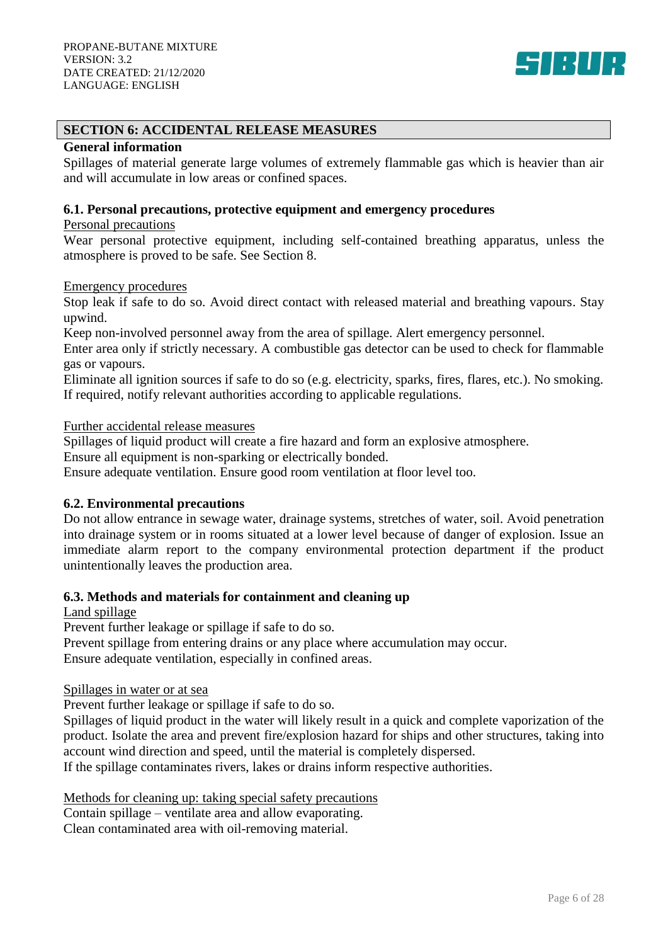

# **SECTION 6: ACCIDENTAL RELEASE MEASURES**

## **General information**

Spillages of material generate large volumes of extremely flammable gas which is heavier than air and will accumulate in low areas or confined spaces.

#### **6.1. Personal precautions, protective equipment and emergency procedures**

#### Personal precautions

Wear personal protective equipment, including self-contained breathing apparatus, unless the atmosphere is proved to be safe. See Section 8.

#### Emergency procedures

Stop leak if safe to do so. Avoid direct contact with released material and breathing vapours. Stay upwind.

Keep non-involved personnel away from the area of spillage. Alert emergency personnel.

Enter area only if strictly necessary. A combustible gas detector can be used to check for flammable gas or vapours.

Eliminate all ignition sources if safe to do so (e.g. electricity, sparks, fires, flares, etc.). No smoking. If required, notify relevant authorities according to applicable regulations.

#### Further accidental release measures

Spillages of liquid product will create a fire hazard and form an explosive atmosphere.

Ensure all equipment is non-sparking or electrically bonded.

Ensure adequate ventilation. Ensure good room ventilation at floor level too.

#### **6.2. Environmental precautions**

Do not allow entrance in sewage water, drainage systems, stretches of water, soil. Avoid penetration into drainage system or in rooms situated at a lower level because of danger of explosion. Issue an immediate alarm report to the company environmental protection department if the product unintentionally leaves the production area.

#### **6.3. Methods and materials for containment and cleaning up**

Land spillage

Prevent further leakage or spillage if safe to do so.

Prevent spillage from entering drains or any place where accumulation may occur.

Ensure adequate ventilation, especially in confined areas.

#### Spillages in water or at sea

Prevent further leakage or spillage if safe to do so.

Spillages of liquid product in the water will likely result in a quick and complete vaporization of the product. Isolate the area and prevent fire/explosion hazard for ships and other structures, taking into account wind direction and speed, until the material is completely dispersed.

If the spillage contaminates rivers, lakes or drains inform respective authorities.

## Methods for cleaning up: taking special safety precautions

Contain spillage – ventilate area and allow evaporating.

Clean contaminated area with oil-removing material.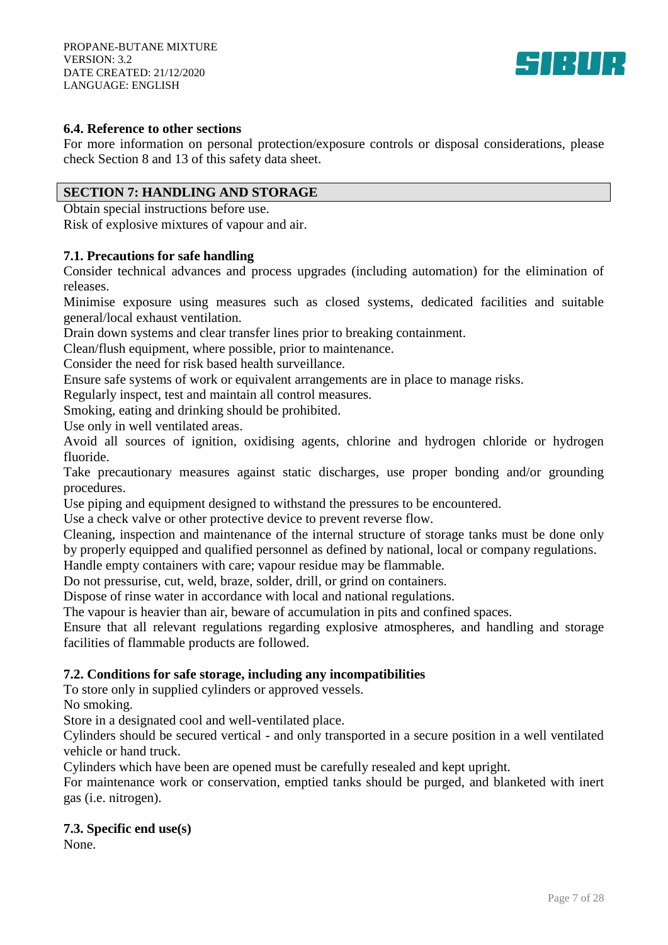

# **6.4. Reference to other sections**

For more information on personal protection/exposure controls or disposal considerations, please check Section 8 and 13 of this safety data sheet.

#### **SECTION 7: HANDLING AND STORAGE**

Obtain special instructions before use.

Risk of explosive mixtures of vapour and air.

#### **7.1. Precautions for safe handling**

Consider technical advances and process upgrades (including automation) for the elimination of releases.

Minimise exposure using measures such as closed systems, dedicated facilities and suitable general/local exhaust ventilation.

Drain down systems and clear transfer lines prior to breaking containment.

Clean/flush equipment, where possible, prior to maintenance.

Consider the need for risk based health surveillance.

Ensure safe systems of work or equivalent arrangements are in place to manage risks.

Regularly inspect, test and maintain all control measures.

Smoking, eating and drinking should be prohibited.

Use only in well ventilated areas.

Avoid all sources of ignition, oxidising agents, chlorine and hydrogen chloride or hydrogen fluoride.

Take precautionary measures against static discharges, use proper bonding and/or grounding procedures.

Use piping and equipment designed to withstand the pressures to be encountered.

Use a check valve or other protective device to prevent reverse flow.

Cleaning, inspection and maintenance of the internal structure of storage tanks must be done only by properly equipped and qualified personnel as defined by national, local or company regulations. Handle empty containers with care; vapour residue may be flammable.

Do not pressurise, cut, weld, braze, solder, drill, or grind on containers.

Dispose of rinse water in accordance with local and national regulations.

The vapour is heavier than air, beware of accumulation in pits and confined spaces.

Ensure that all relevant regulations regarding explosive atmospheres, and handling and storage facilities of flammable products are followed.

# **7.2. Conditions for safe storage, including any incompatibilities**

To store only in supplied cylinders or approved vessels.

No smoking.

Store in a designated cool and well-ventilated place.

Cylinders should be secured vertical - and only transported in a secure position in a well ventilated vehicle or hand truck.

Cylinders which have been are opened must be carefully resealed and kept upright.

For maintenance work or conservation, emptied tanks should be purged, and blanketed with inert gas (i.e. nitrogen).

# **7.3. Specific end use(s)**

None.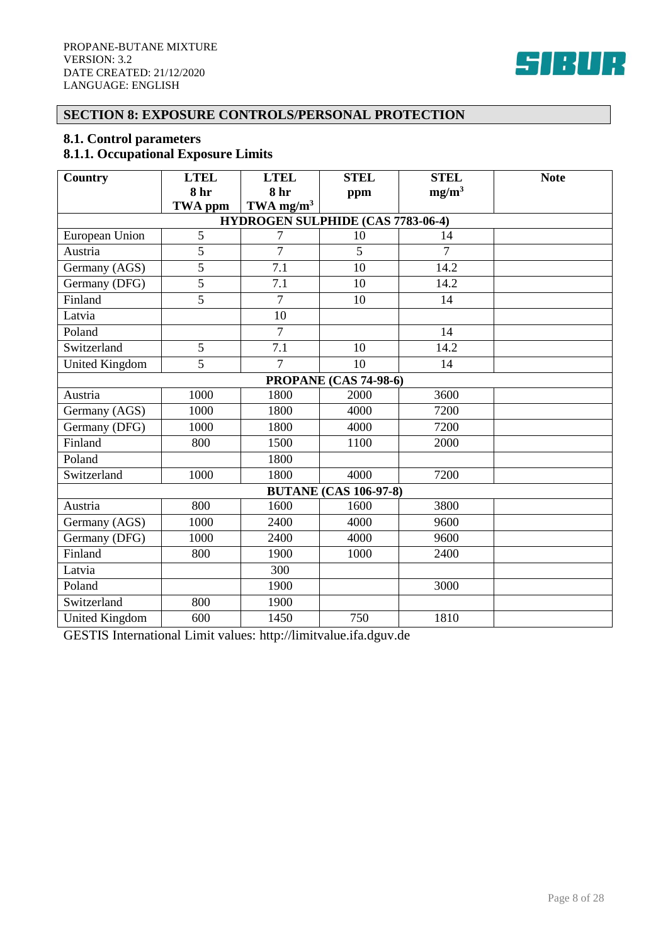

# **SECTION 8: EXPOSURE CONTROLS/PERSONAL PROTECTION**

# **8.1. Control parameters**

# **8.1.1. Occupational Exposure Limits**

| <b>Country</b>        | <b>LTEL</b>    | <b>LTEL</b>                       | <b>STEL</b>                  | <b>STEL</b>       | <b>Note</b> |
|-----------------------|----------------|-----------------------------------|------------------------------|-------------------|-------------|
|                       | 8 hr           | 8 hr                              | ppm                          | mg/m <sup>3</sup> |             |
|                       | TWA ppm        | TWA mg/m <sup>3</sup>             |                              |                   |             |
|                       |                | HYDROGEN SULPHIDE (CAS 7783-06-4) |                              |                   |             |
| European Union        | 5              | $\overline{7}$                    | 10                           | 14                |             |
| Austria               | 5              | $\overline{7}$                    | 5                            | $\overline{7}$    |             |
| Germany (AGS)         | 5              | 7.1                               | 10                           | 14.2              |             |
| Germany (DFG)         | $\overline{5}$ | 7.1                               | 10                           | 14.2              |             |
| Finland               | 5              | $\overline{7}$                    | 10                           | 14                |             |
| Latvia                |                | 10                                |                              |                   |             |
| Poland                |                | $\overline{7}$                    |                              | 14                |             |
| Switzerland           | 5              | 7.1                               | 10                           | 14.2              |             |
| <b>United Kingdom</b> | 5              | $\overline{7}$                    | 10                           | 14                |             |
|                       |                |                                   | <b>PROPANE (CAS 74-98-6)</b> |                   |             |
| Austria               | 1000           | 1800                              | 2000                         | 3600              |             |
| Germany (AGS)         | 1000           | 1800                              | 4000                         | 7200              |             |
| Germany (DFG)         | 1000           | 1800                              | 4000                         | 7200              |             |
| Finland               | 800            | 1500                              | 1100                         | 2000              |             |
| Poland                |                | 1800                              |                              |                   |             |
| Switzerland           | 1000           | 1800                              | 4000                         | 7200              |             |
|                       |                |                                   | <b>BUTANE (CAS 106-97-8)</b> |                   |             |
| Austria               | 800            | 1600                              | 1600                         | 3800              |             |
| Germany (AGS)         | 1000           | 2400                              | 4000                         | 9600              |             |
| Germany (DFG)         | 1000           | 2400                              | 4000                         | 9600              |             |
| Finland               | 800            | 1900                              | 1000                         | 2400              |             |
| Latvia                |                | 300                               |                              |                   |             |
| Poland                |                | 1900                              |                              | 3000              |             |
| Switzerland           | 800            | 1900                              |                              |                   |             |
| <b>United Kingdom</b> | 600            | 1450                              | 750                          | 1810              |             |

GESTIS International Limit values: http://limitvalue.ifa.dguv.de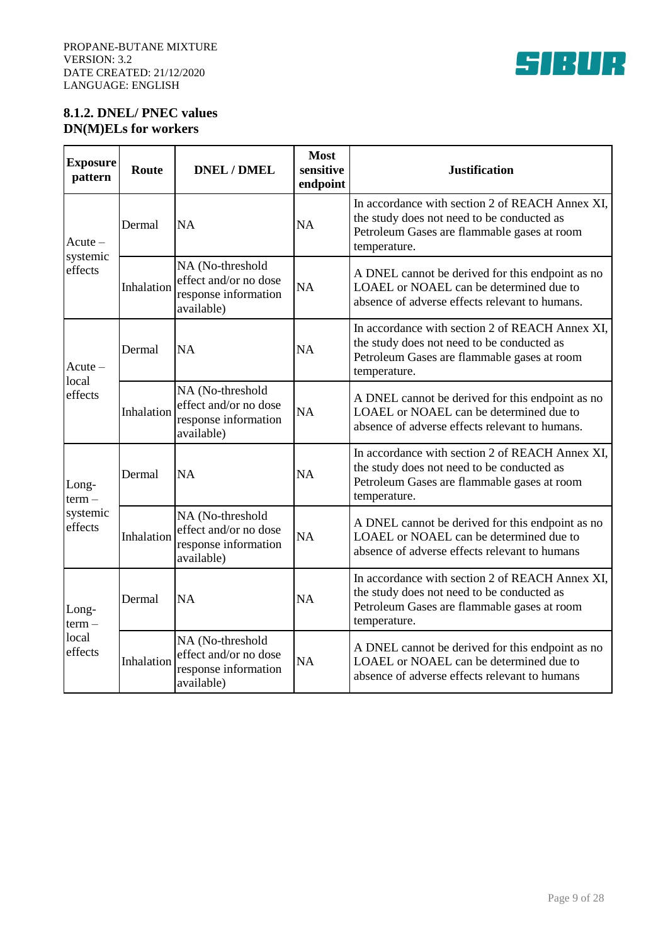

# **8.1.2. DNEL/ PNEC values DN(M)ELs for workers**

| <b>Exposure</b><br>pattern            | Route                                                                                                     | <b>DNEL / DMEL</b>                                                              | <b>Most</b><br>sensitive<br>endpoint                                                                                                          | <b>Justification</b>                                                                                                                                         |
|---------------------------------------|-----------------------------------------------------------------------------------------------------------|---------------------------------------------------------------------------------|-----------------------------------------------------------------------------------------------------------------------------------------------|--------------------------------------------------------------------------------------------------------------------------------------------------------------|
| Acute –                               | Dermal                                                                                                    | <b>NA</b>                                                                       | <b>NA</b>                                                                                                                                     | In accordance with section 2 of REACH Annex XI,<br>the study does not need to be conducted as<br>Petroleum Gases are flammable gases at room<br>temperature. |
| effects                               | systemic<br>NA (No-threshold<br>effect and/or no dose<br>Inhalation<br>response information<br>available) | <b>NA</b>                                                                       | A DNEL cannot be derived for this endpoint as no<br>LOAEL or NOAEL can be determined due to<br>absence of adverse effects relevant to humans. |                                                                                                                                                              |
| Acute –                               | Dermal                                                                                                    | <b>NA</b>                                                                       | <b>NA</b>                                                                                                                                     | In accordance with section 2 of REACH Annex XI,<br>the study does not need to be conducted as<br>Petroleum Gases are flammable gases at room<br>temperature. |
| local<br>effects                      | Inhalation                                                                                                | NA (No-threshold<br>effect and/or no dose<br>response information<br>available) | <b>NA</b>                                                                                                                                     | A DNEL cannot be derived for this endpoint as no<br>LOAEL or NOAEL can be determined due to<br>absence of adverse effects relevant to humans.                |
| Long-<br>$term -$                     | Dermal                                                                                                    | <b>NA</b>                                                                       | <b>NA</b>                                                                                                                                     | In accordance with section 2 of REACH Annex XI,<br>the study does not need to be conducted as<br>Petroleum Gases are flammable gases at room<br>temperature. |
| systemic<br>effects                   | Inhalation                                                                                                | NA (No-threshold<br>effect and/or no dose<br>response information<br>available) | NA                                                                                                                                            | A DNEL cannot be derived for this endpoint as no<br>LOAEL or NOAEL can be determined due to<br>absence of adverse effects relevant to humans                 |
| Long-<br>$term -$<br>local<br>effects | Dermal                                                                                                    | <b>NA</b>                                                                       | <b>NA</b>                                                                                                                                     | In accordance with section 2 of REACH Annex XI,<br>the study does not need to be conducted as<br>Petroleum Gases are flammable gases at room<br>temperature. |
|                                       | Inhalation                                                                                                | NA (No-threshold<br>effect and/or no dose<br>response information<br>available) | <b>NA</b>                                                                                                                                     | A DNEL cannot be derived for this endpoint as no<br>LOAEL or NOAEL can be determined due to<br>absence of adverse effects relevant to humans                 |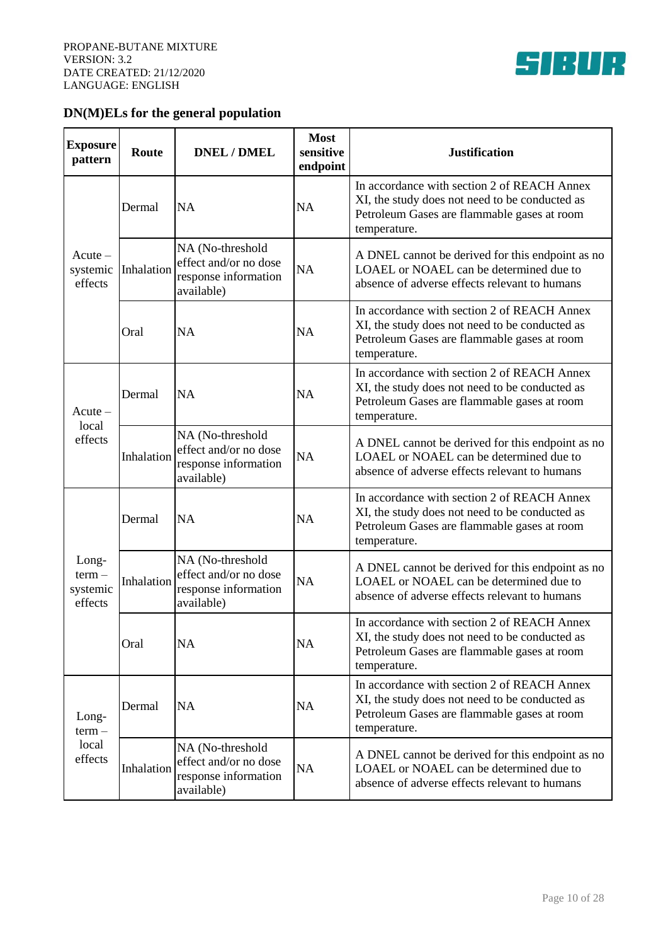

# **DN(M)ELs for the general population**

| <b>Exposure</b><br>pattern               | Route                                                                           | <b>DNEL / DMEL</b>                                                              | <b>Most</b><br>sensitive<br>endpoint                                                                                                         | <b>Justification</b>                                                                                                                                         |
|------------------------------------------|---------------------------------------------------------------------------------|---------------------------------------------------------------------------------|----------------------------------------------------------------------------------------------------------------------------------------------|--------------------------------------------------------------------------------------------------------------------------------------------------------------|
|                                          | Dermal                                                                          | <b>NA</b>                                                                       | <b>NA</b>                                                                                                                                    | In accordance with section 2 of REACH Annex<br>XI, the study does not need to be conducted as<br>Petroleum Gases are flammable gases at room<br>temperature. |
| $Acute -$<br>systemic<br>effects<br>Oral | Inhalation                                                                      | NA (No-threshold<br>effect and/or no dose<br>response information<br>available) | <b>NA</b>                                                                                                                                    | A DNEL cannot be derived for this endpoint as no<br>LOAEL or NOAEL can be determined due to<br>absence of adverse effects relevant to humans                 |
|                                          |                                                                                 | <b>NA</b>                                                                       | <b>NA</b>                                                                                                                                    | In accordance with section 2 of REACH Annex<br>XI, the study does not need to be conducted as<br>Petroleum Gases are flammable gases at room<br>temperature. |
| $Acute -$<br>local                       | Dermal                                                                          | <b>NA</b>                                                                       | <b>NA</b>                                                                                                                                    | In accordance with section 2 of REACH Annex<br>XI, the study does not need to be conducted as<br>Petroleum Gases are flammable gases at room<br>temperature. |
| effects<br>Inhalation                    | NA (No-threshold<br>effect and/or no dose<br>response information<br>available) | <b>NA</b>                                                                       | A DNEL cannot be derived for this endpoint as no<br>LOAEL or NOAEL can be determined due to<br>absence of adverse effects relevant to humans |                                                                                                                                                              |
|                                          | Dermal                                                                          | <b>NA</b>                                                                       | <b>NA</b>                                                                                                                                    | In accordance with section 2 of REACH Annex<br>XI, the study does not need to be conducted as<br>Petroleum Gases are flammable gases at room<br>temperature. |
| Long-<br>$term -$<br>systemic<br>effects | Inhalation                                                                      | NA (No-threshold<br>effect and/or no dose<br>response information<br>available) | <b>NA</b>                                                                                                                                    | A DNEL cannot be derived for this endpoint as no<br>LOAEL or NOAEL can be determined due to<br>absence of adverse effects relevant to humans                 |
|                                          | Oral                                                                            | NA                                                                              | NA                                                                                                                                           | In accordance with section 2 of REACH Annex<br>XI, the study does not need to be conducted as<br>Petroleum Gases are flammable gases at room<br>temperature. |
| Long-<br>$term -$<br>local<br>effects    | Dermal                                                                          | NA                                                                              | <b>NA</b>                                                                                                                                    | In accordance with section 2 of REACH Annex<br>XI, the study does not need to be conducted as<br>Petroleum Gases are flammable gases at room<br>temperature. |
|                                          | Inhalation                                                                      | NA (No-threshold<br>effect and/or no dose<br>response information<br>available) | NA                                                                                                                                           | A DNEL cannot be derived for this endpoint as no<br>LOAEL or NOAEL can be determined due to<br>absence of adverse effects relevant to humans                 |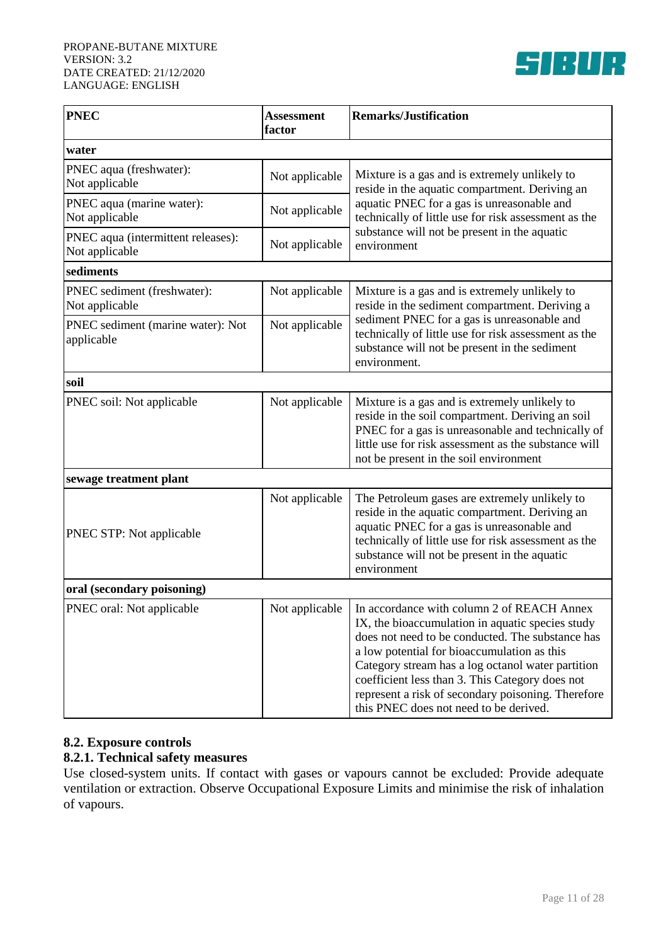

| <b>PNEC</b>                                          | <b>Assessment</b><br>factor | <b>Remarks/Justification</b>                                                                                                                                                                                                                                                                                                                                                                              |
|------------------------------------------------------|-----------------------------|-----------------------------------------------------------------------------------------------------------------------------------------------------------------------------------------------------------------------------------------------------------------------------------------------------------------------------------------------------------------------------------------------------------|
| water                                                |                             |                                                                                                                                                                                                                                                                                                                                                                                                           |
| PNEC aqua (freshwater):<br>Not applicable            | Not applicable              | Mixture is a gas and is extremely unlikely to<br>reside in the aquatic compartment. Deriving an                                                                                                                                                                                                                                                                                                           |
| PNEC aqua (marine water):<br>Not applicable          | Not applicable              | aquatic PNEC for a gas is unreasonable and<br>technically of little use for risk assessment as the                                                                                                                                                                                                                                                                                                        |
| PNEC aqua (intermittent releases):<br>Not applicable | Not applicable              | substance will not be present in the aquatic<br>environment                                                                                                                                                                                                                                                                                                                                               |
| sediments                                            |                             |                                                                                                                                                                                                                                                                                                                                                                                                           |
| PNEC sediment (freshwater):<br>Not applicable        | Not applicable              | Mixture is a gas and is extremely unlikely to<br>reside in the sediment compartment. Deriving a                                                                                                                                                                                                                                                                                                           |
| PNEC sediment (marine water): Not<br>applicable      | Not applicable              | sediment PNEC for a gas is unreasonable and<br>technically of little use for risk assessment as the<br>substance will not be present in the sediment<br>environment.                                                                                                                                                                                                                                      |
| soil                                                 |                             |                                                                                                                                                                                                                                                                                                                                                                                                           |
| PNEC soil: Not applicable                            | Not applicable              | Mixture is a gas and is extremely unlikely to<br>reside in the soil compartment. Deriving an soil<br>PNEC for a gas is unreasonable and technically of<br>little use for risk assessment as the substance will<br>not be present in the soil environment                                                                                                                                                  |
| sewage treatment plant                               |                             |                                                                                                                                                                                                                                                                                                                                                                                                           |
| PNEC STP: Not applicable                             | Not applicable              | The Petroleum gases are extremely unlikely to<br>reside in the aquatic compartment. Deriving an<br>aquatic PNEC for a gas is unreasonable and<br>technically of little use for risk assessment as the<br>substance will not be present in the aquatic<br>environment                                                                                                                                      |
| oral (secondary poisoning)                           |                             |                                                                                                                                                                                                                                                                                                                                                                                                           |
| PNEC oral: Not applicable                            | Not applicable              | In accordance with column 2 of REACH Annex<br>IX, the bioaccumulation in aquatic species study<br>does not need to be conducted. The substance has<br>a low potential for bioaccumulation as this<br>Category stream has a log octanol water partition<br>coefficient less than 3. This Category does not<br>represent a risk of secondary poisoning. Therefore<br>this PNEC does not need to be derived. |

# **8.2. Exposure controls**

# **8.2.1. Technical safety measures**

Use closed-system units. If contact with gases or vapours cannot be excluded: Provide adequate ventilation or extraction. Observe Occupational Exposure Limits and minimise the risk of inhalation of vapours.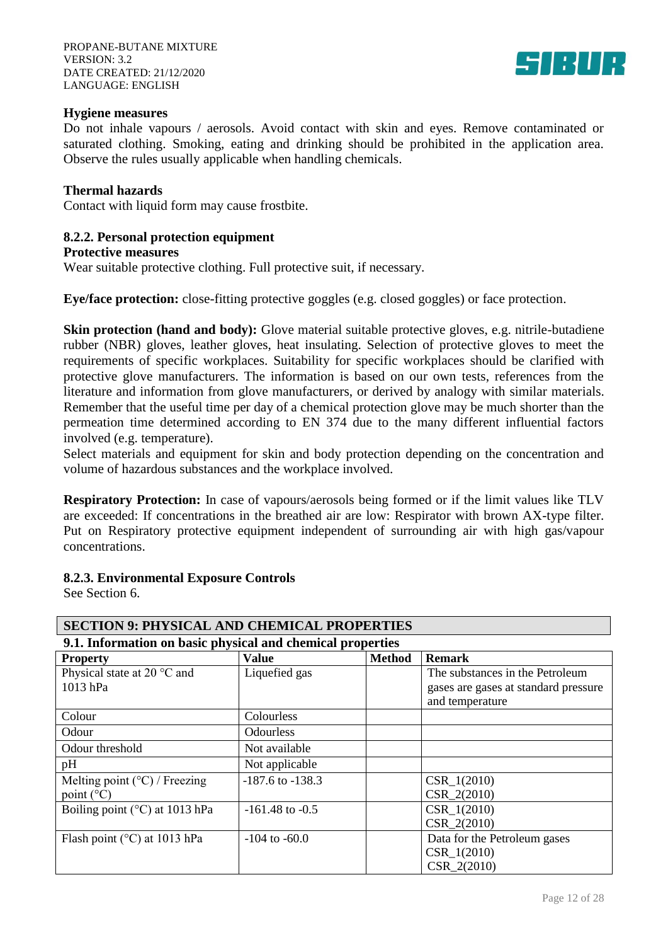

# **Hygiene measures**

Do not inhale vapours / aerosols. Avoid contact with skin and eyes. Remove contaminated or saturated clothing. Smoking, eating and drinking should be prohibited in the application area. Observe the rules usually applicable when handling chemicals.

## **Thermal hazards**

Contact with liquid form may cause frostbite.

# **8.2.2. Personal protection equipment**

#### **Protective measures**

Wear suitable protective clothing. Full protective suit, if necessary.

**Eye/face protection:** close-fitting protective goggles (e.g. closed goggles) or face protection.

**Skin protection (hand and body):** Glove material suitable protective gloves, e.g. nitrile-butadiene rubber (NBR) gloves, leather gloves, heat insulating. Selection of protective gloves to meet the requirements of specific workplaces. Suitability for specific workplaces should be clarified with protective glove manufacturers. The information is based on our own tests, references from the literature and information from glove manufacturers, or derived by analogy with similar materials. Remember that the useful time per day of a chemical protection glove may be much shorter than the permeation time determined according to EN 374 due to the many different influential factors involved (e.g. temperature).

Select materials and equipment for skin and body protection depending on the concentration and volume of hazardous substances and the workplace involved.

**Respiratory Protection:** In case of vapours/aerosols being formed or if the limit values like TLV are exceeded: If concentrations in the breathed air are low: Respirator with brown AX-type filter. Put on Respiratory protective equipment independent of surrounding air with high gas/vapour concentrations.

#### **8.2.3. Environmental Exposure Controls**

See Section 6.

| <b>SECTION 9: PHYSICAL AND CHEMICAL PROPERTIES</b>         |                      |               |                                      |  |
|------------------------------------------------------------|----------------------|---------------|--------------------------------------|--|
| 9.1. Information on basic physical and chemical properties |                      |               |                                      |  |
| <b>Property</b>                                            | <b>Value</b>         | <b>Method</b> | <b>Remark</b>                        |  |
| Physical state at 20 $\degree$ C and                       | Liquefied gas        |               | The substances in the Petroleum      |  |
| 1013 hPa                                                   |                      |               | gases are gases at standard pressure |  |
|                                                            |                      |               | and temperature                      |  |
| Colour                                                     | Colourless           |               |                                      |  |
| Odour                                                      | <b>Odourless</b>     |               |                                      |  |
| Odour threshold                                            | Not available        |               |                                      |  |
| pH                                                         | Not applicable       |               |                                      |  |
| Melting point (°C) / Freezing                              | $-187.6$ to $-138.3$ |               | CSR 1(2010)                          |  |
| point $(^{\circ}C)$                                        |                      |               | $CSR_2(2010)$                        |  |
| Boiling point (°C) at 1013 hPa                             | $-161.48$ to $-0.5$  |               | $CSR_1(2010)$                        |  |
|                                                            |                      |               | $CSR_2(2010)$                        |  |
| Flash point ( $\degree$ C) at 1013 hPa                     | $-104$ to $-60.0$    |               | Data for the Petroleum gases         |  |
|                                                            |                      |               | $CSR_1(2010)$                        |  |
|                                                            |                      |               | CSR 2(2010)                          |  |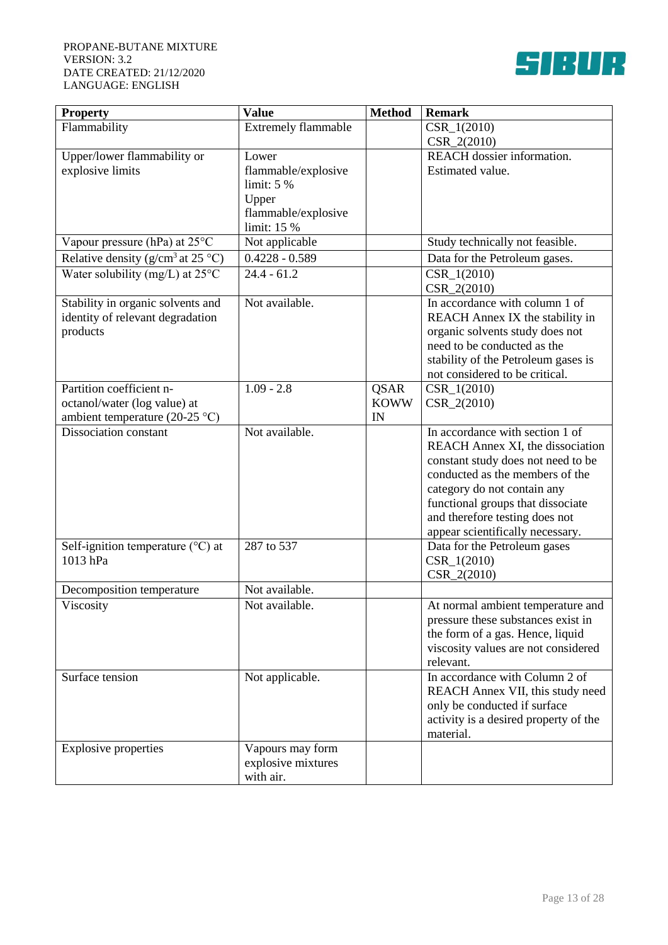

| Flammability<br><b>Extremely flammable</b><br>CSR_1(2010)<br>$CSR_2(2010)$<br>REACH dossier information.<br>Upper/lower flammability or<br>Lower<br>explosive limits<br>flammable/explosive<br>Estimated value.<br>limit: $5%$<br>Upper<br>flammable/explosive<br>limit: 15 %<br>Vapour pressure (hPa) at 25°C<br>Not applicable<br>Study technically not feasible.<br>Relative density ( $g/cm^3$ at 25 °C)<br>$0.4228 - 0.589$<br>Data for the Petroleum gases. | <b>Property</b> | <b>Value</b> | <b>Method</b> | <b>Remark</b>                     |
|-------------------------------------------------------------------------------------------------------------------------------------------------------------------------------------------------------------------------------------------------------------------------------------------------------------------------------------------------------------------------------------------------------------------------------------------------------------------|-----------------|--------------|---------------|-----------------------------------|
|                                                                                                                                                                                                                                                                                                                                                                                                                                                                   |                 |              |               |                                   |
|                                                                                                                                                                                                                                                                                                                                                                                                                                                                   |                 |              |               |                                   |
|                                                                                                                                                                                                                                                                                                                                                                                                                                                                   |                 |              |               |                                   |
|                                                                                                                                                                                                                                                                                                                                                                                                                                                                   |                 |              |               |                                   |
|                                                                                                                                                                                                                                                                                                                                                                                                                                                                   |                 |              |               |                                   |
|                                                                                                                                                                                                                                                                                                                                                                                                                                                                   |                 |              |               |                                   |
|                                                                                                                                                                                                                                                                                                                                                                                                                                                                   |                 |              |               |                                   |
|                                                                                                                                                                                                                                                                                                                                                                                                                                                                   |                 |              |               |                                   |
|                                                                                                                                                                                                                                                                                                                                                                                                                                                                   |                 |              |               |                                   |
|                                                                                                                                                                                                                                                                                                                                                                                                                                                                   |                 |              |               |                                   |
| Water solubility (mg/L) at $25^{\circ}$ C<br>$24.4 - 61.2$<br>CSR_1(2010)<br>CSR_2(2010)                                                                                                                                                                                                                                                                                                                                                                          |                 |              |               |                                   |
| In accordance with column 1 of<br>Stability in organic solvents and<br>Not available.                                                                                                                                                                                                                                                                                                                                                                             |                 |              |               |                                   |
| identity of relevant degradation<br>REACH Annex IX the stability in                                                                                                                                                                                                                                                                                                                                                                                               |                 |              |               |                                   |
| organic solvents study does not<br>products                                                                                                                                                                                                                                                                                                                                                                                                                       |                 |              |               |                                   |
| need to be conducted as the                                                                                                                                                                                                                                                                                                                                                                                                                                       |                 |              |               |                                   |
| stability of the Petroleum gases is<br>not considered to be critical.                                                                                                                                                                                                                                                                                                                                                                                             |                 |              |               |                                   |
| Partition coefficient n-<br>$1.09 - 2.8$<br><b>QSAR</b><br>CSR_1(2010)                                                                                                                                                                                                                                                                                                                                                                                            |                 |              |               |                                   |
| octanol/water (log value) at<br><b>KOWW</b><br>CSR_2(2010)                                                                                                                                                                                                                                                                                                                                                                                                        |                 |              |               |                                   |
| ambient temperature (20-25 °C)<br>IN                                                                                                                                                                                                                                                                                                                                                                                                                              |                 |              |               |                                   |
| Dissociation constant<br>Not available.<br>In accordance with section 1 of                                                                                                                                                                                                                                                                                                                                                                                        |                 |              |               |                                   |
|                                                                                                                                                                                                                                                                                                                                                                                                                                                                   |                 |              |               | REACH Annex XI, the dissociation  |
| constant study does not need to be                                                                                                                                                                                                                                                                                                                                                                                                                                |                 |              |               |                                   |
| conducted as the members of the                                                                                                                                                                                                                                                                                                                                                                                                                                   |                 |              |               |                                   |
| category do not contain any                                                                                                                                                                                                                                                                                                                                                                                                                                       |                 |              |               |                                   |
| functional groups that dissociate                                                                                                                                                                                                                                                                                                                                                                                                                                 |                 |              |               |                                   |
| and therefore testing does not<br>appear scientifically necessary.                                                                                                                                                                                                                                                                                                                                                                                                |                 |              |               |                                   |
| Self-ignition temperature (°C) at<br>287 to 537<br>Data for the Petroleum gases                                                                                                                                                                                                                                                                                                                                                                                   |                 |              |               |                                   |
| 1013 hPa<br>CSR_1(2010)                                                                                                                                                                                                                                                                                                                                                                                                                                           |                 |              |               |                                   |
| $CSR_2(2010)$                                                                                                                                                                                                                                                                                                                                                                                                                                                     |                 |              |               |                                   |
| Not available.<br>Decomposition temperature                                                                                                                                                                                                                                                                                                                                                                                                                       |                 |              |               |                                   |
| Viscosity<br>Not available.                                                                                                                                                                                                                                                                                                                                                                                                                                       |                 |              |               | At normal ambient temperature and |
| pressure these substances exist in<br>the form of a gas. Hence, liquid                                                                                                                                                                                                                                                                                                                                                                                            |                 |              |               |                                   |
| viscosity values are not considered                                                                                                                                                                                                                                                                                                                                                                                                                               |                 |              |               |                                   |
| relevant.                                                                                                                                                                                                                                                                                                                                                                                                                                                         |                 |              |               |                                   |
| In accordance with Column 2 of<br>Surface tension<br>Not applicable.                                                                                                                                                                                                                                                                                                                                                                                              |                 |              |               |                                   |
|                                                                                                                                                                                                                                                                                                                                                                                                                                                                   |                 |              |               | REACH Annex VII, this study need  |
| only be conducted if surface                                                                                                                                                                                                                                                                                                                                                                                                                                      |                 |              |               |                                   |
| activity is a desired property of the                                                                                                                                                                                                                                                                                                                                                                                                                             |                 |              |               |                                   |
| material.                                                                                                                                                                                                                                                                                                                                                                                                                                                         |                 |              |               |                                   |
| Vapours may form<br><b>Explosive properties</b>                                                                                                                                                                                                                                                                                                                                                                                                                   |                 |              |               |                                   |
| explosive mixtures<br>with air.                                                                                                                                                                                                                                                                                                                                                                                                                                   |                 |              |               |                                   |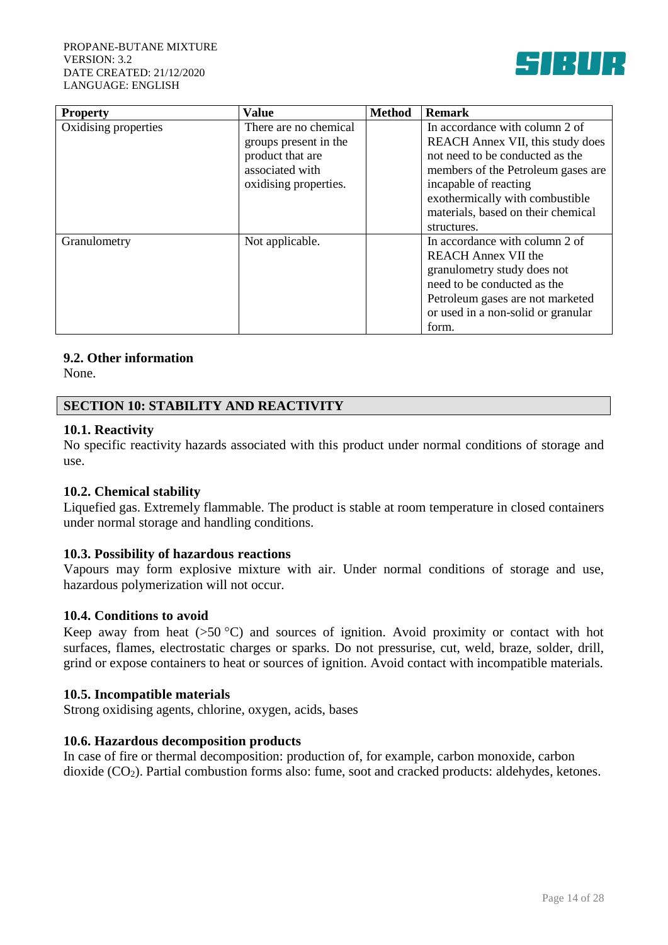

| <b>Property</b>      | <b>Value</b>          | <b>Method</b> | <b>Remark</b>                      |
|----------------------|-----------------------|---------------|------------------------------------|
| Oxidising properties | There are no chemical |               | In accordance with column 2 of     |
|                      | groups present in the |               | REACH Annex VII, this study does   |
|                      | product that are      |               | not need to be conducted as the    |
|                      | associated with       |               | members of the Petroleum gases are |
|                      | oxidising properties. |               | incapable of reacting              |
|                      |                       |               | exothermically with combustible    |
|                      |                       |               | materials, based on their chemical |
|                      |                       |               | structures.                        |
| Granulometry         | Not applicable.       |               | In accordance with column 2 of     |
|                      |                       |               | <b>REACH Annex VII the</b>         |
|                      |                       |               | granulometry study does not        |
|                      |                       |               | need to be conducted as the        |
|                      |                       |               | Petroleum gases are not marketed   |
|                      |                       |               | or used in a non-solid or granular |
|                      |                       |               | form.                              |

# **9.2. Other information**

None.

# **SECTION 10: STABILITY AND REACTIVITY**

## **10.1. Reactivity**

No specific reactivity hazards associated with this product under normal conditions of storage and use.

# **10.2. Chemical stability**

Liquefied gas. Extremely flammable. The product is stable at room temperature in closed containers under normal storage and handling conditions.

#### **10.3. Possibility of hazardous reactions**

Vapours may form explosive mixture with air. Under normal conditions of storage and use, hazardous polymerization will not occur.

#### **10.4. Conditions to avoid**

Keep away from heat  $(50 °C)$  and sources of ignition. Avoid proximity or contact with hot surfaces, flames, electrostatic charges or sparks. Do not pressurise, cut, weld, braze, solder, drill, grind or expose containers to heat or sources of ignition. Avoid contact with incompatible materials.

#### **10.5. Incompatible materials**

Strong oxidising agents, chlorine, oxygen, acids, bases

#### **10.6. Hazardous decomposition products**

In case of fire or thermal decomposition: production of, for example, carbon monoxide, carbon dioxide (CO<sub>2</sub>). Partial combustion forms also: fume, soot and cracked products: aldehydes, ketones.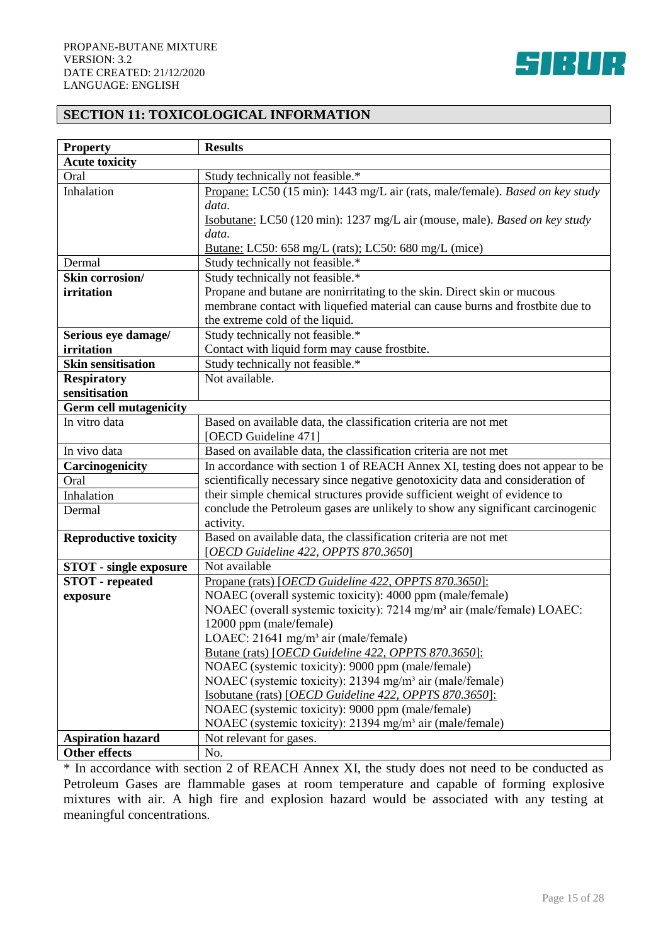

# **SECTION 11: TOXICOLOGICAL INFORMATION**

| <b>Property</b>               | <b>Results</b>                                                                     |
|-------------------------------|------------------------------------------------------------------------------------|
| <b>Acute toxicity</b>         |                                                                                    |
| Oral                          | Study technically not feasible.*                                                   |
| Inhalation                    | Propane: LC50 (15 min): 1443 mg/L air (rats, male/female). Based on key study      |
|                               | data.                                                                              |
|                               | Isobutane: LC50 (120 min): 1237 mg/L air (mouse, male). Based on key study         |
|                               | data.                                                                              |
|                               | Butane: LC50: 658 mg/L (rats); LC50: 680 mg/L (mice)                               |
| Dermal                        | Study technically not feasible.*                                                   |
| Skin corrosion/               | Study technically not feasible.*                                                   |
| irritation                    | Propane and butane are nonirritating to the skin. Direct skin or mucous            |
|                               | membrane contact with liquefied material can cause burns and frostbite due to      |
|                               | the extreme cold of the liquid.                                                    |
| Serious eye damage/           | Study technically not feasible.*                                                   |
| irritation                    | Contact with liquid form may cause frostbite.                                      |
| <b>Skin sensitisation</b>     | Study technically not feasible.*                                                   |
| <b>Respiratory</b>            | Not available.                                                                     |
| sensitisation                 |                                                                                    |
| <b>Germ cell mutagenicity</b> |                                                                                    |
| In vitro data                 | Based on available data, the classification criteria are not met                   |
|                               | [OECD Guideline 471]                                                               |
| In vivo data                  | Based on available data, the classification criteria are not met                   |
| Carcinogenicity               | In accordance with section 1 of REACH Annex XI, testing does not appear to be      |
| Oral                          | scientifically necessary since negative genotoxicity data and consideration of     |
| Inhalation                    | their simple chemical structures provide sufficient weight of evidence to          |
| Dermal                        | conclude the Petroleum gases are unlikely to show any significant carcinogenic     |
|                               | activity.                                                                          |
| <b>Reproductive toxicity</b>  | Based on available data, the classification criteria are not met                   |
|                               | [OECD Guideline 422, OPPTS 870.3650]                                               |
| <b>STOT</b> - single exposure | Not available                                                                      |
| <b>STOT</b> - repeated        | Propane (rats) [OECD Guideline 422, OPPTS 870.3650]:                               |
| exposure                      | NOAEC (overall systemic toxicity): 4000 ppm (male/female)                          |
|                               | NOAEC (overall systemic toxicity): 7214 mg/m <sup>3</sup> air (male/female) LOAEC: |
|                               | 12000 ppm (male/female)                                                            |
|                               | LOAEC: 21641 mg/m <sup>3</sup> air (male/female)                                   |
|                               | Butane (rats) [OECD Guideline 422, OPPTS 870.3650]:                                |
|                               | NOAEC (systemic toxicity): 9000 ppm (male/female)                                  |
|                               | NOAEC (systemic toxicity): 21394 mg/m <sup>3</sup> air (male/female)               |
|                               | Isobutane (rats) [OECD Guideline 422, OPPTS 870.3650]:                             |
|                               | NOAEC (systemic toxicity): 9000 ppm (male/female)                                  |
|                               | NOAEC (systemic toxicity): 21394 mg/m <sup>3</sup> air (male/female)               |
| <b>Aspiration hazard</b>      | Not relevant for gases.                                                            |
| <b>Other effects</b>          | No.                                                                                |

\* In accordance with section 2 of REACH Annex XI, the study does not need to be conducted as Petroleum Gases are flammable gases at room temperature and capable of forming explosive mixtures with air. A high fire and explosion hazard would be associated with any testing at meaningful concentrations.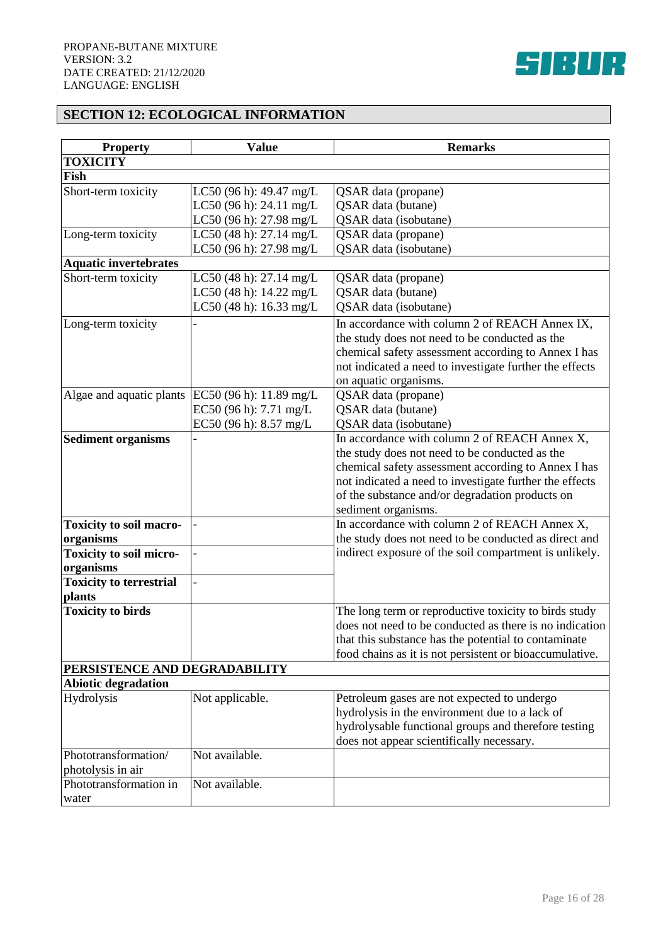

# **SECTION 12: ECOLOGICAL INFORMATION**

| <b>Property</b>                | <b>Value</b>                                     | <b>Remarks</b>                                          |
|--------------------------------|--------------------------------------------------|---------------------------------------------------------|
| <b>TOXICITY</b>                |                                                  |                                                         |
| Fish                           |                                                  |                                                         |
| Short-term toxicity            | LC50 (96 h): $49.47$ mg/L                        | QSAR data (propane)                                     |
|                                | LC50 (96 h): 24.11 mg/L                          | QSAR data (butane)                                      |
|                                | LC50 (96 h): 27.98 mg/L                          | QSAR data (isobutane)                                   |
| Long-term toxicity             | LC50 (48 h): 27.14 mg/L                          | QSAR data (propane)                                     |
|                                | LC50 (96 h): 27.98 mg/L                          | QSAR data (isobutane)                                   |
| <b>Aquatic invertebrates</b>   |                                                  |                                                         |
| Short-term toxicity            | LC50 (48 h): $27.14$ mg/L                        | QSAR data (propane)                                     |
|                                | LC50 (48 h): 14.22 mg/L                          | QSAR data (butane)                                      |
|                                | LC50 (48 h): 16.33 mg/L                          | QSAR data (isobutane)                                   |
| Long-term toxicity             |                                                  | In accordance with column 2 of REACH Annex IX,          |
|                                |                                                  | the study does not need to be conducted as the          |
|                                |                                                  | chemical safety assessment according to Annex I has     |
|                                |                                                  | not indicated a need to investigate further the effects |
|                                |                                                  | on aquatic organisms.                                   |
|                                | Algae and aquatic plants EC50 (96 h): 11.89 mg/L | QSAR data (propane)                                     |
|                                | EC50 (96 h): 7.71 mg/L                           | QSAR data (butane)                                      |
|                                | EC50 (96 h): 8.57 mg/L                           | QSAR data (isobutane)                                   |
| <b>Sediment organisms</b>      |                                                  | In accordance with column 2 of REACH Annex X,           |
|                                |                                                  | the study does not need to be conducted as the          |
|                                |                                                  | chemical safety assessment according to Annex I has     |
|                                |                                                  | not indicated a need to investigate further the effects |
|                                |                                                  | of the substance and/or degradation products on         |
|                                |                                                  | sediment organisms.                                     |
| <b>Toxicity to soil macro-</b> |                                                  | In accordance with column 2 of REACH Annex X,           |
| organisms                      |                                                  | the study does not need to be conducted as direct and   |
| <b>Toxicity to soil micro-</b> |                                                  | indirect exposure of the soil compartment is unlikely.  |
| organisms                      |                                                  |                                                         |
| <b>Toxicity to terrestrial</b> | $\overline{a}$                                   |                                                         |
| plants                         |                                                  |                                                         |
| <b>Toxicity to birds</b>       |                                                  | The long term or reproductive toxicity to birds study   |
|                                |                                                  | does not need to be conducted as there is no indication |
|                                |                                                  | that this substance has the potential to contaminate    |
|                                |                                                  | food chains as it is not persistent or bioaccumulative. |
| PERSISTENCE AND DEGRADABILITY  |                                                  |                                                         |
| <b>Abiotic degradation</b>     |                                                  |                                                         |
| Hydrolysis                     | Not applicable.                                  | Petroleum gases are not expected to undergo             |
|                                |                                                  | hydrolysis in the environment due to a lack of          |
|                                |                                                  | hydrolysable functional groups and therefore testing    |
|                                |                                                  | does not appear scientifically necessary.               |
| Phototransformation/           | Not available.                                   |                                                         |
| photolysis in air              |                                                  |                                                         |
| Phototransformation in         | Not available.                                   |                                                         |
| water                          |                                                  |                                                         |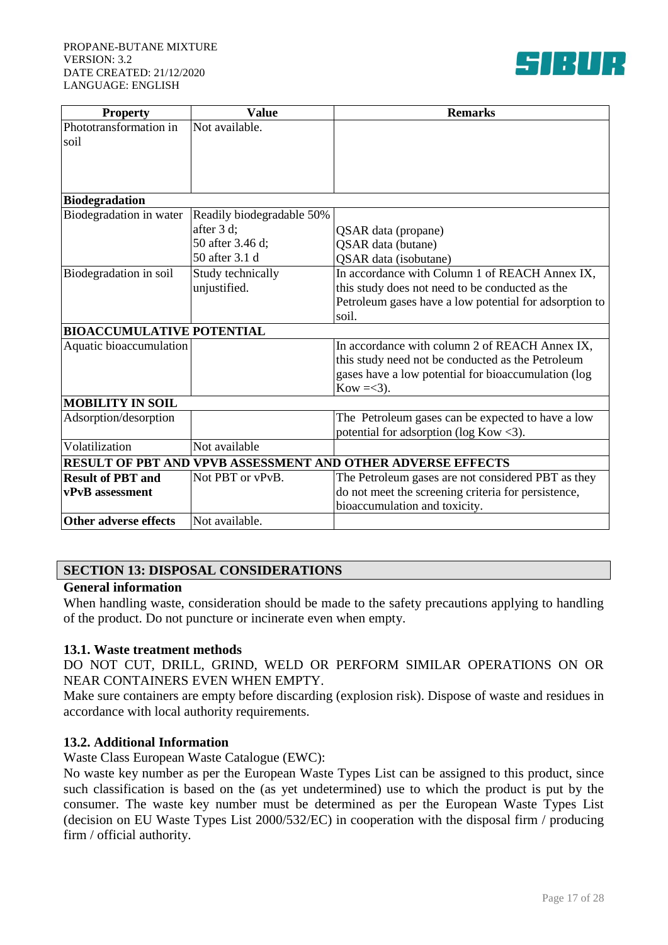

| <b>Property</b>                  | <b>Value</b>              | <b>Remarks</b>                                                     |
|----------------------------------|---------------------------|--------------------------------------------------------------------|
| Phototransformation in           | Not available.            |                                                                    |
| soil                             |                           |                                                                    |
|                                  |                           |                                                                    |
|                                  |                           |                                                                    |
|                                  |                           |                                                                    |
| <b>Biodegradation</b>            |                           |                                                                    |
| Biodegradation in water          | Readily biodegradable 50% |                                                                    |
|                                  | after 3 d;                | QSAR data (propane)                                                |
|                                  | 50 after 3.46 d;          | QSAR data (butane)                                                 |
|                                  | 50 after 3.1 d            | QSAR data (isobutane)                                              |
| Biodegradation in soil           | Study technically         | In accordance with Column 1 of REACH Annex IX,                     |
|                                  | unjustified.              | this study does not need to be conducted as the                    |
|                                  |                           | Petroleum gases have a low potential for adsorption to             |
|                                  |                           | soil.                                                              |
| <b>BIOACCUMULATIVE POTENTIAL</b> |                           |                                                                    |
| Aquatic bioaccumulation          |                           | In accordance with column 2 of REACH Annex IX,                     |
|                                  |                           | this study need not be conducted as the Petroleum                  |
|                                  |                           | gases have a low potential for bioaccumulation (log                |
|                                  |                           | Kow $=<3$ ).                                                       |
| <b>MOBILITY IN SOIL</b>          |                           |                                                                    |
| Adsorption/desorption            |                           | The Petroleum gases can be expected to have a low                  |
|                                  |                           | potential for adsorption (log Kow <3).                             |
| Volatilization                   | Not available             |                                                                    |
|                                  |                           | <b>RESULT OF PBT AND VPVB ASSESSMENT AND OTHER ADVERSE EFFECTS</b> |
| <b>Result of PBT and</b>         | Not PBT or vPvB.          | The Petroleum gases are not considered PBT as they                 |
| vPvB assessment                  |                           | do not meet the screening criteria for persistence,                |
|                                  |                           | bioaccumulation and toxicity.                                      |
| Other adverse effects            | Not available.            |                                                                    |

# **SECTION 13: DISPOSAL CONSIDERATIONS**

#### **General information**

When handling waste, consideration should be made to the safety precautions applying to handling of the product. Do not puncture or incinerate even when empty.

# **13.1. Waste treatment methods**

DO NOT CUT, DRILL, GRIND, WELD OR PERFORM SIMILAR OPERATIONS ON OR NEAR CONTAINERS EVEN WHEN EMPTY.

Make sure containers are empty before discarding (explosion risk). Dispose of waste and residues in accordance with local authority requirements.

## **13.2. Additional Information**

Waste Class European Waste Catalogue (EWC):

No waste key number as per the European Waste Types List can be assigned to this product, since such classification is based on the (as yet undetermined) use to which the product is put by the consumer. The waste key number must be determined as per the European Waste Types List (decision on EU Waste Types List 2000/532/EC) in cooperation with the disposal firm / producing firm / official authority.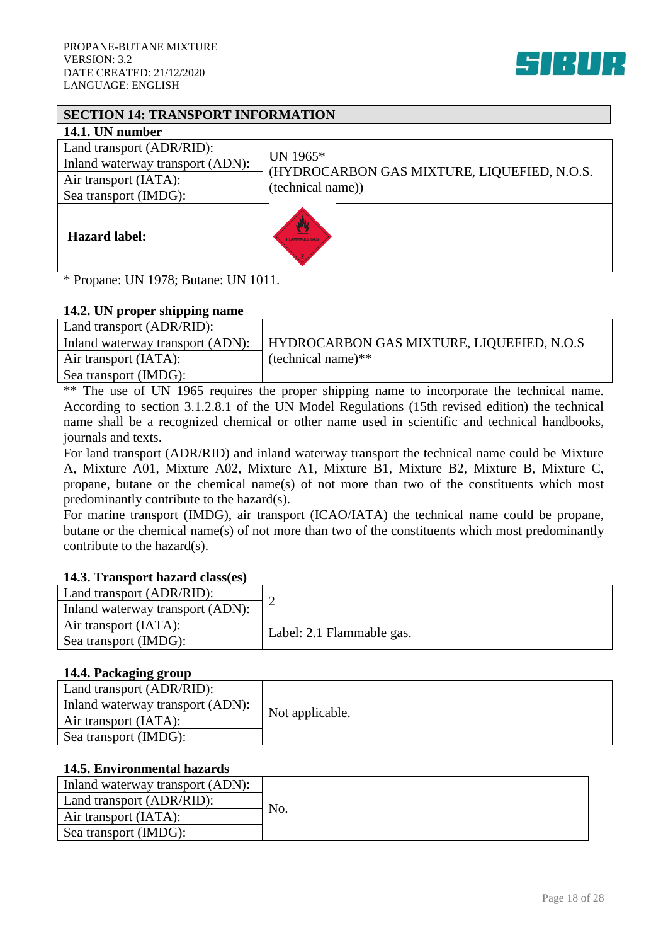

| <b>SECTION 14: TRANSPORT INFORMATION</b> |                                                                  |  |  |
|------------------------------------------|------------------------------------------------------------------|--|--|
| 14.1. UN number                          |                                                                  |  |  |
| Land transport (ADR/RID):                | UN 1965*                                                         |  |  |
| Inland waterway transport (ADN):         | (HYDROCARBON GAS MIXTURE, LIQUEFIED, N.O.S.<br>(technical name)) |  |  |
| Air transport (IATA):                    |                                                                  |  |  |
| Sea transport (IMDG):                    |                                                                  |  |  |
| <b>Hazard label:</b>                     | <b>FLAMMABLE GAS</b>                                             |  |  |

\* Propane: UN 1978; Butane: UN 1011.

## **14.2. UN proper shipping name**

| Land transport (ADR/RID):        |                                           |
|----------------------------------|-------------------------------------------|
| Inland waterway transport (ADN): | HYDROCARBON GAS MIXTURE, LIQUEFIED, N.O.S |
| Air transport (IATA):            | (technical name) $**$                     |
| Sea transport (IMDG):            |                                           |

\*\* The use of UN 1965 requires the proper shipping name to incorporate the technical name. According to section 3.1.2.8.1 of the UN Model Regulations (15th revised edition) the technical name shall be a recognized chemical or other name used in scientific and technical handbooks, journals and texts.

For land transport (ADR/RID) and inland waterway transport the technical name could be Mixture A, Mixture A01, Mixture A02, Mixture A1, Mixture B1, Mixture B2, Mixture B, Mixture C, propane, butane or the chemical name(s) of not more than two of the constituents which most predominantly contribute to the hazard(s).

For marine transport (IMDG), air transport (ICAO/IATA) the technical name could be propane, butane or the chemical name(s) of not more than two of the constituents which most predominantly contribute to the hazard(s).

# **14.3. Transport hazard class(es)**

| Land transport (ADR/RID):        |                           |
|----------------------------------|---------------------------|
| Inland waterway transport (ADN): |                           |
| Air transport (IATA):            | Label: 2.1 Flammable gas. |
| Sea transport (IMDG):            |                           |

# **14.4. Packaging group**

| Land transport (ADR/RID):        |                 |
|----------------------------------|-----------------|
| Inland waterway transport (ADN): |                 |
| Air transport (IATA):            | Not applicable. |
| Sea transport (IMDG):            |                 |

# **14.5. Environmental hazards**

| Inland waterway transport (ADN): |     |
|----------------------------------|-----|
| Land transport (ADR/RID):        | No. |
| Air transport (IATA):            |     |
| Sea transport (IMDG):            |     |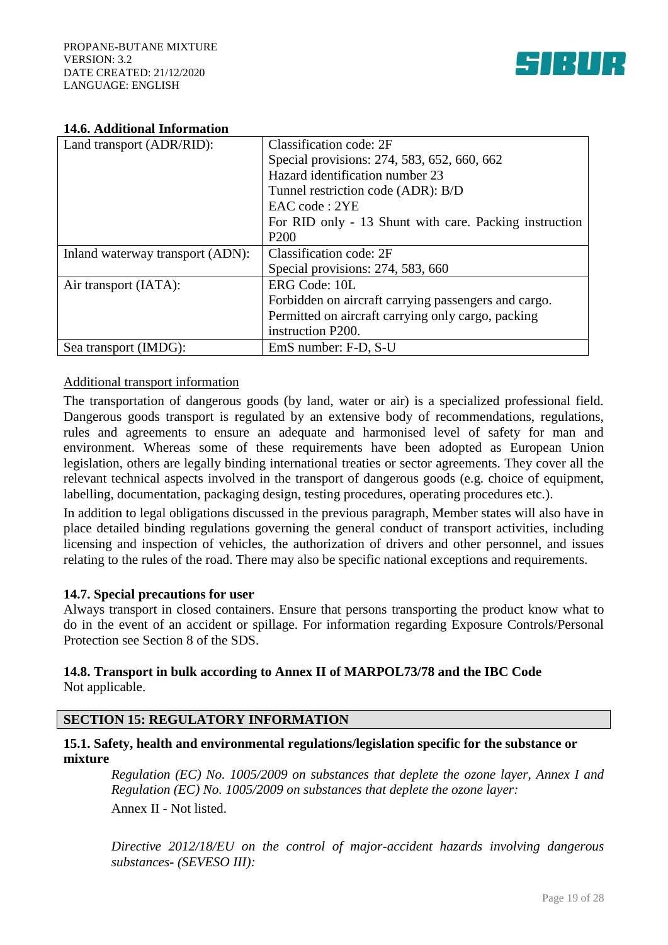

#### **14.6. Additional Information**

| Land transport (ADR/RID):        | Classification code: 2F                                |
|----------------------------------|--------------------------------------------------------|
|                                  | Special provisions: 274, 583, 652, 660, 662            |
|                                  | Hazard identification number 23                        |
|                                  | Tunnel restriction code (ADR): B/D                     |
|                                  | EAC code: 2YE                                          |
|                                  | For RID only - 13 Shunt with care. Packing instruction |
|                                  | P <sub>200</sub>                                       |
| Inland waterway transport (ADN): | Classification code: 2F                                |
|                                  | Special provisions: 274, 583, 660                      |
| Air transport (IATA):            | ERG Code: 10L                                          |
|                                  | Forbidden on aircraft carrying passengers and cargo.   |
|                                  | Permitted on aircraft carrying only cargo, packing     |
|                                  | instruction P200.                                      |
|                                  |                                                        |

# Additional transport information

The transportation of dangerous goods (by land, water or air) is a specialized professional field. Dangerous goods transport is regulated by an extensive body of recommendations, regulations, rules and agreements to ensure an adequate and harmonised level of safety for man and environment. Whereas some of these requirements have been adopted as European Union legislation, others are legally binding international treaties or sector agreements. They cover all the relevant technical aspects involved in the transport of dangerous goods (e.g. choice of equipment, labelling, documentation, packaging design, testing procedures, operating procedures etc.).

In addition to legal obligations discussed in the previous paragraph, Member states will also have in place detailed binding regulations governing the general conduct of transport activities, including licensing and inspection of vehicles, the authorization of drivers and other personnel, and issues relating to the rules of the road. There may also be specific national exceptions and requirements.

# **14.7. Special precautions for user**

Always transport in closed containers. Ensure that persons transporting the product know what to do in the event of an accident or spillage. For information regarding Exposure Controls/Personal Protection see Section 8 of the SDS.

# **14.8. Transport in bulk according to Annex II of MARPOL73/78 and the IBC Code** Not applicable.

#### **SECTION 15: REGULATORY INFORMATION**

# **15.1. Safety, health and environmental regulations/legislation specific for the substance or mixture**

*Regulation (EC) No. 1005/2009 on substances that deplete the ozone layer, Annex I and Regulation (EC) No. 1005/2009 on substances that deplete the ozone layer:* Annex II - Not listed.

*Directive 2012/18/EU on the control of major-accident hazards involving dangerous substances- (SEVESO III):*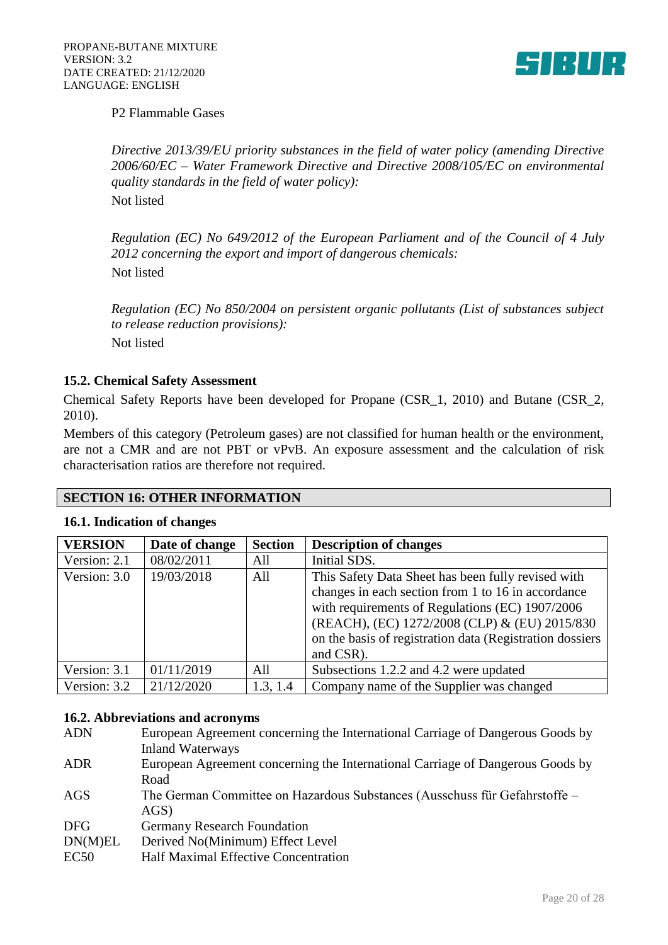

# P2 Flammable Gases

*Directive 2013/39/EU priority substances in the field of water policy (amending Directive 2006/60/EC – Water Framework Directive and Directive 2008/105/EC on environmental quality standards in the field of water policy):* Not listed

*Regulation (EC) No 649/2012 of the European Parliament and of the Council of 4 July 2012 concerning the export and import of dangerous chemicals:*  Not listed

*Regulation (EC) No 850/2004 on persistent organic pollutants (List of substances subject to release reduction provisions):*  Not listed

# **15.2. Chemical Safety Assessment**

Chemical Safety Reports have been developed for Propane (CSR\_1, 2010) and Butane (CSR\_2, 2010).

Members of this category (Petroleum gases) are not classified for human health or the environment, are not a CMR and are not PBT or vPvB. An exposure assessment and the calculation of risk characterisation ratios are therefore not required.

# **SECTION 16: OTHER INFORMATION**

#### **16.1. Indication of changes**

| <b>VERSION</b> | Date of change | <b>Section</b> | <b>Description of changes</b>                             |
|----------------|----------------|----------------|-----------------------------------------------------------|
| Version: 2.1   | 08/02/2011     | All            | Initial SDS.                                              |
| Version: 3.0   | 19/03/2018     | All            | This Safety Data Sheet has been fully revised with        |
|                |                |                | changes in each section from 1 to 16 in accordance        |
|                |                |                | with requirements of Regulations (EC) 1907/2006           |
|                |                |                | (REACH), (EC) 1272/2008 (CLP) & (EU) 2015/830             |
|                |                |                | on the basis of registration data (Registration dossiers) |
|                |                |                | and CSR).                                                 |
| Version: 3.1   | 01/11/2019     | All            | Subsections 1.2.2 and 4.2 were updated                    |
| Version: 3.2   | 21/12/2020     | 1.3, 1.4       | Company name of the Supplier was changed                  |

# **16.2. Abbreviations and acronyms**

| <b>ADN</b> | European Agreement concerning the International Carriage of Dangerous Goods by |
|------------|--------------------------------------------------------------------------------|
|            | <b>Inland Waterways</b>                                                        |
| <b>ADR</b> | European Agreement concerning the International Carriage of Dangerous Goods by |
|            | Road                                                                           |
| AGS        | The German Committee on Hazardous Substances (Ausschuss für Gefahrstoffe –     |
|            | AGS)                                                                           |
| <b>DFG</b> | <b>Germany Research Foundation</b>                                             |
| DN(M)EL    | Derived No(Minimum) Effect Level                                               |
| EC50       | <b>Half Maximal Effective Concentration</b>                                    |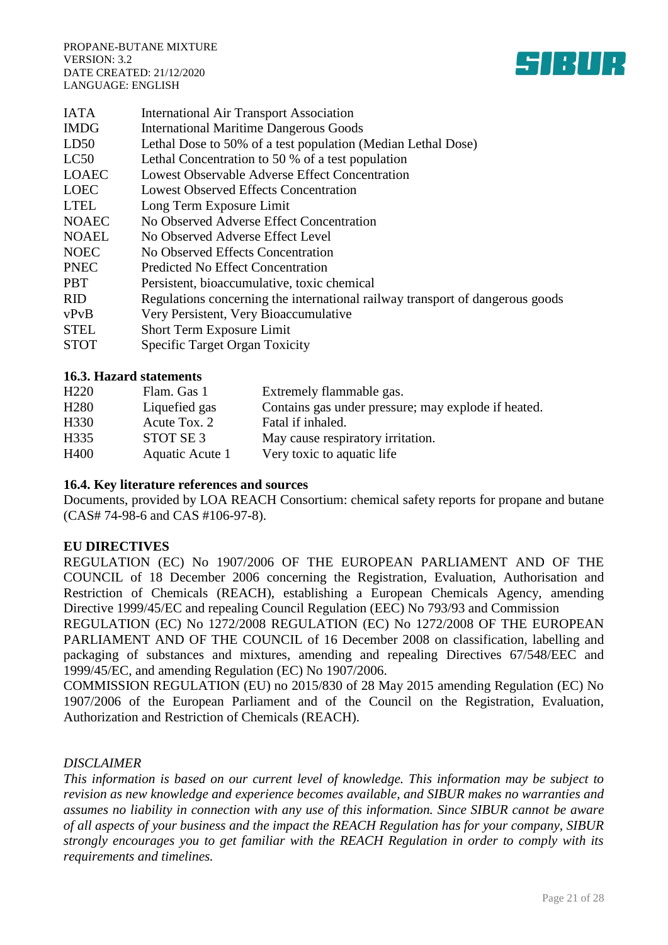PROPANE-BUTANE MIXTURE VERSION: 3.2 DATE CREATED: 21/12/2020 LANGUAGE: ENGLISH



| <b>International Air Transport Association</b>                                |
|-------------------------------------------------------------------------------|
| <b>International Maritime Dangerous Goods</b>                                 |
| Lethal Dose to 50% of a test population (Median Lethal Dose)                  |
| Lethal Concentration to 50 % of a test population                             |
| <b>Lowest Observable Adverse Effect Concentration</b>                         |
| <b>Lowest Observed Effects Concentration</b>                                  |
| Long Term Exposure Limit                                                      |
| No Observed Adverse Effect Concentration                                      |
| No Observed Adverse Effect Level                                              |
| No Observed Effects Concentration                                             |
| <b>Predicted No Effect Concentration</b>                                      |
| Persistent, bioaccumulative, toxic chemical                                   |
| Regulations concerning the international railway transport of dangerous goods |
| Very Persistent, Very Bioaccumulative                                         |
| <b>Short Term Exposure Limit</b>                                              |
| Specific Target Organ Toxicity                                                |
|                                                                               |

## **16.3. Hazard statements**

| H <sub>220</sub>  | Flam. Gas 1     | Extremely flammable gas.                            |
|-------------------|-----------------|-----------------------------------------------------|
| H <sub>2</sub> 80 | Liquefied gas   | Contains gas under pressure; may explode if heated. |
| H330              | Acute Tox. 2    | Fatal if inhaled.                                   |
| H335              | STOT SE 3       | May cause respiratory irritation.                   |
| H400              | Aquatic Acute 1 | Very toxic to aquatic life                          |

# **16.4. Key literature references and sources**

Documents, provided by LOA REACH Consortium: chemical safety reports for propane and butane (CAS# 74-98-6 and CAS #106-97-8).

## **EU DIRECTIVES**

REGULATION (EC) No 1907/2006 OF THE EUROPEAN PARLIAMENT AND OF THE COUNCIL of 18 December 2006 concerning the Registration, Evaluation, Authorisation and Restriction of Chemicals (REACH), establishing a European Chemicals Agency, amending Directive 1999/45/EC and repealing Council Regulation (EEC) No 793/93 and Commission

REGULATION (EC) No 1272/2008 REGULATION (EC) No 1272/2008 OF THE EUROPEAN PARLIAMENT AND OF THE COUNCIL of 16 December 2008 on classification, labelling and packaging of substances and mixtures, amending and repealing Directives 67/548/EEC and 1999/45/EC, and amending Regulation (EC) No 1907/2006.

COMMISSION REGULATION (EU) no 2015/830 of 28 May 2015 amending Regulation (EC) No 1907/2006 of the European Parliament and of the Council on the Registration, Evaluation, Authorization and Restriction of Chemicals (REACH).

# *DISCLAIMER*

*This information is based on our current level of knowledge. This information may be subject to revision as new knowledge and experience becomes available, and SIBUR makes no warranties and assumes no liability in connection with any use of this information. Since SIBUR cannot be aware of all aspects of your business and the impact the REACH Regulation has for your company, SIBUR strongly encourages you to get familiar with the REACH Regulation in order to comply with its requirements and timelines.*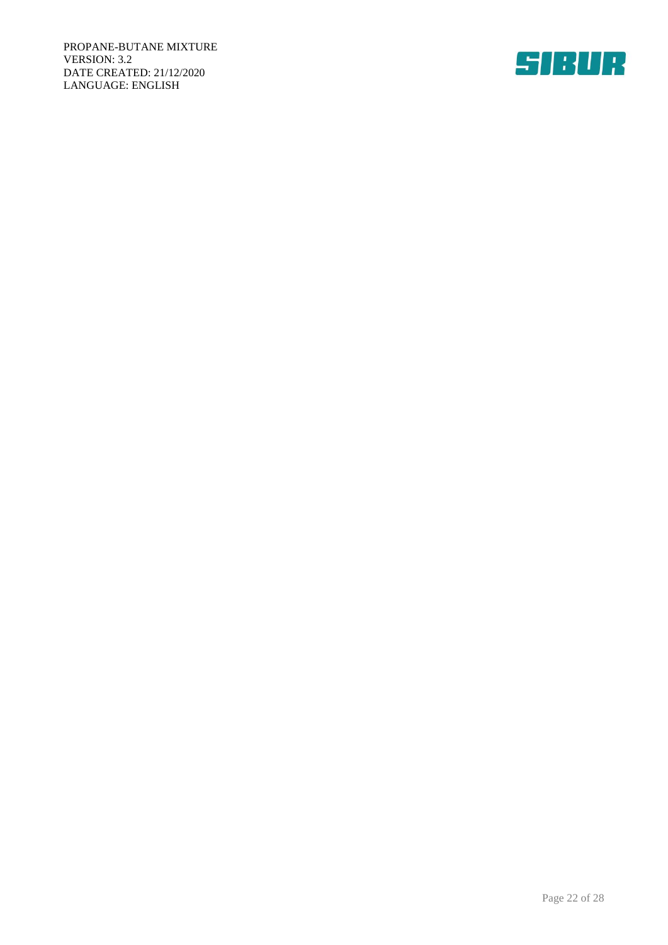PROPANE-BUTANE MIXTURE VERSION: 3.2 DATE CREATED: 21/12/2020 LANGUAGE: ENGLISH

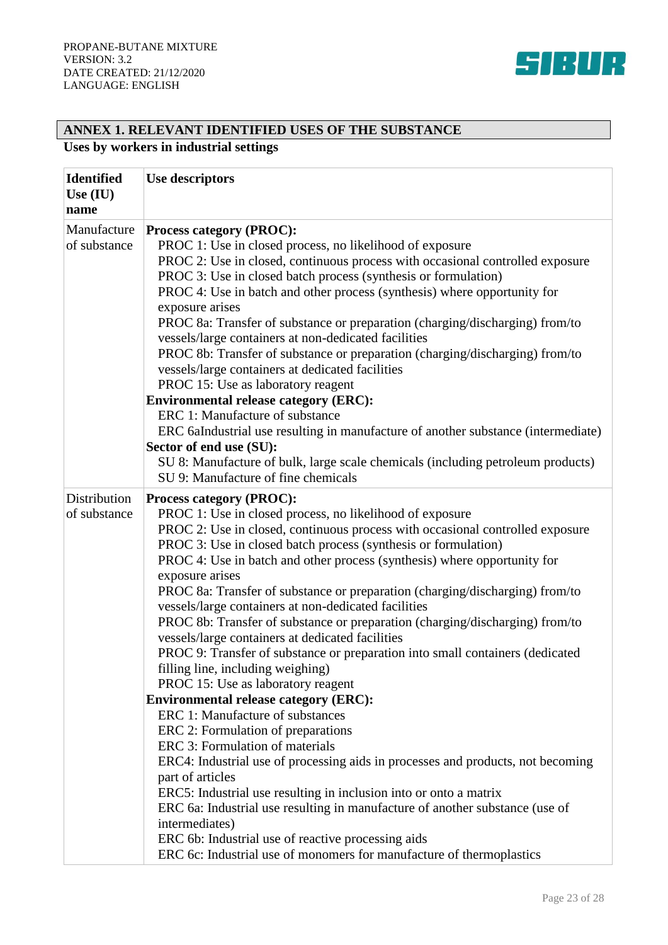

# **ANNEX 1. RELEVANT IDENTIFIED USES OF THE SUBSTANCE Uses by workers in industrial settings**

| <b>Identified</b><br>Use $(IU)$<br>name | <b>Use descriptors</b>                                                                                                                                                                                                                                                                                     |
|-----------------------------------------|------------------------------------------------------------------------------------------------------------------------------------------------------------------------------------------------------------------------------------------------------------------------------------------------------------|
| Manufacture                             | <b>Process category (PROC):</b>                                                                                                                                                                                                                                                                            |
| of substance                            | PROC 1: Use in closed process, no likelihood of exposure<br>PROC 2: Use in closed, continuous process with occasional controlled exposure<br>PROC 3: Use in closed batch process (synthesis or formulation)<br>PROC 4: Use in batch and other process (synthesis) where opportunity for<br>exposure arises |
|                                         | PROC 8a: Transfer of substance or preparation (charging/discharging) from/to<br>vessels/large containers at non-dedicated facilities                                                                                                                                                                       |
|                                         | PROC 8b: Transfer of substance or preparation (charging/discharging) from/to<br>vessels/large containers at dedicated facilities                                                                                                                                                                           |
|                                         | PROC 15: Use as laboratory reagent                                                                                                                                                                                                                                                                         |
|                                         | <b>Environmental release category (ERC):</b><br>ERC 1: Manufacture of substance                                                                                                                                                                                                                            |
|                                         | ERC 6aIndustrial use resulting in manufacture of another substance (intermediate)<br>Sector of end use (SU):                                                                                                                                                                                               |
|                                         | SU 8: Manufacture of bulk, large scale chemicals (including petroleum products)<br>SU 9: Manufacture of fine chemicals                                                                                                                                                                                     |
| Distribution                            | <b>Process category (PROC):</b>                                                                                                                                                                                                                                                                            |
| of substance                            | PROC 1: Use in closed process, no likelihood of exposure                                                                                                                                                                                                                                                   |
|                                         | PROC 2: Use in closed, continuous process with occasional controlled exposure                                                                                                                                                                                                                              |
|                                         | PROC 3: Use in closed batch process (synthesis or formulation)<br>PROC 4: Use in batch and other process (synthesis) where opportunity for                                                                                                                                                                 |
|                                         | exposure arises                                                                                                                                                                                                                                                                                            |
|                                         | PROC 8a: Transfer of substance or preparation (charging/discharging) from/to                                                                                                                                                                                                                               |
|                                         | vessels/large containers at non-dedicated facilities                                                                                                                                                                                                                                                       |
|                                         | PROC 8b: Transfer of substance or preparation (charging/discharging) from/to<br>vessels/large containers at dedicated facilities                                                                                                                                                                           |
|                                         | PROC 9: Transfer of substance or preparation into small containers (dedicated                                                                                                                                                                                                                              |
|                                         | filling line, including weighing)<br>PROC 15: Use as laboratory reagent                                                                                                                                                                                                                                    |
|                                         | <b>Environmental release category (ERC):</b>                                                                                                                                                                                                                                                               |
|                                         | ERC 1: Manufacture of substances                                                                                                                                                                                                                                                                           |
|                                         | ERC 2: Formulation of preparations                                                                                                                                                                                                                                                                         |
|                                         | ERC 3: Formulation of materials                                                                                                                                                                                                                                                                            |
|                                         | ERC4: Industrial use of processing aids in processes and products, not becoming<br>part of articles                                                                                                                                                                                                        |
|                                         | ERC5: Industrial use resulting in inclusion into or onto a matrix                                                                                                                                                                                                                                          |
|                                         | ERC 6a: Industrial use resulting in manufacture of another substance (use of                                                                                                                                                                                                                               |
|                                         | intermediates)                                                                                                                                                                                                                                                                                             |
|                                         | ERC 6b: Industrial use of reactive processing aids                                                                                                                                                                                                                                                         |
|                                         | ERC 6c: Industrial use of monomers for manufacture of thermoplastics                                                                                                                                                                                                                                       |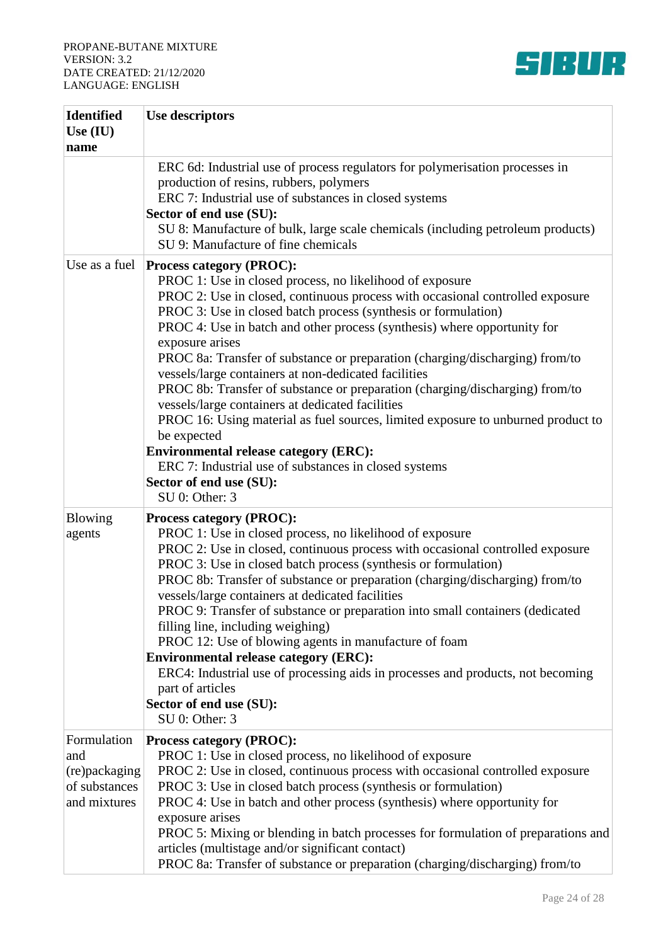

| <b>Identified</b><br>Use $(IU)$<br>name                              | <b>Use descriptors</b>                                                                                                                                                                                                                                                                                                                                                                                                                                                                                                                                                                                                                                                                                                                                                                                                                                                                |
|----------------------------------------------------------------------|---------------------------------------------------------------------------------------------------------------------------------------------------------------------------------------------------------------------------------------------------------------------------------------------------------------------------------------------------------------------------------------------------------------------------------------------------------------------------------------------------------------------------------------------------------------------------------------------------------------------------------------------------------------------------------------------------------------------------------------------------------------------------------------------------------------------------------------------------------------------------------------|
|                                                                      | ERC 6d: Industrial use of process regulators for polymerisation processes in<br>production of resins, rubbers, polymers<br>ERC 7: Industrial use of substances in closed systems<br>Sector of end use (SU):<br>SU 8: Manufacture of bulk, large scale chemicals (including petroleum products)<br>SU 9: Manufacture of fine chemicals                                                                                                                                                                                                                                                                                                                                                                                                                                                                                                                                                 |
| Use as a fuel                                                        | <b>Process category (PROC):</b><br>PROC 1: Use in closed process, no likelihood of exposure<br>PROC 2: Use in closed, continuous process with occasional controlled exposure<br>PROC 3: Use in closed batch process (synthesis or formulation)<br>PROC 4: Use in batch and other process (synthesis) where opportunity for<br>exposure arises<br>PROC 8a: Transfer of substance or preparation (charging/discharging) from/to<br>vessels/large containers at non-dedicated facilities<br>PROC 8b: Transfer of substance or preparation (charging/discharging) from/to<br>vessels/large containers at dedicated facilities<br>PROC 16: Using material as fuel sources, limited exposure to unburned product to<br>be expected<br><b>Environmental release category (ERC):</b><br>ERC 7: Industrial use of substances in closed systems<br>Sector of end use (SU):<br>$SU 0$ : Other: 3 |
| Blowing<br>agents                                                    | <b>Process category (PROC):</b><br>PROC 1: Use in closed process, no likelihood of exposure<br>PROC 2: Use in closed, continuous process with occasional controlled exposure<br>PROC 3: Use in closed batch process (synthesis or formulation)<br>PROC 8b: Transfer of substance or preparation (charging/discharging) from/to<br>vessels/large containers at dedicated facilities<br>PROC 9: Transfer of substance or preparation into small containers (dedicated<br>filling line, including weighing)<br>PROC 12: Use of blowing agents in manufacture of foam<br><b>Environmental release category (ERC):</b><br>ERC4: Industrial use of processing aids in processes and products, not becoming<br>part of articles<br>Sector of end use (SU):<br>$SU 0$ : Other: 3                                                                                                              |
| Formulation<br>and<br>(re)packaging<br>of substances<br>and mixtures | <b>Process category (PROC):</b><br>PROC 1: Use in closed process, no likelihood of exposure<br>PROC 2: Use in closed, continuous process with occasional controlled exposure<br>PROC 3: Use in closed batch process (synthesis or formulation)<br>PROC 4: Use in batch and other process (synthesis) where opportunity for<br>exposure arises<br>PROC 5: Mixing or blending in batch processes for formulation of preparations and<br>articles (multistage and/or significant contact)<br>PROC 8a: Transfer of substance or preparation (charging/discharging) from/to                                                                                                                                                                                                                                                                                                                |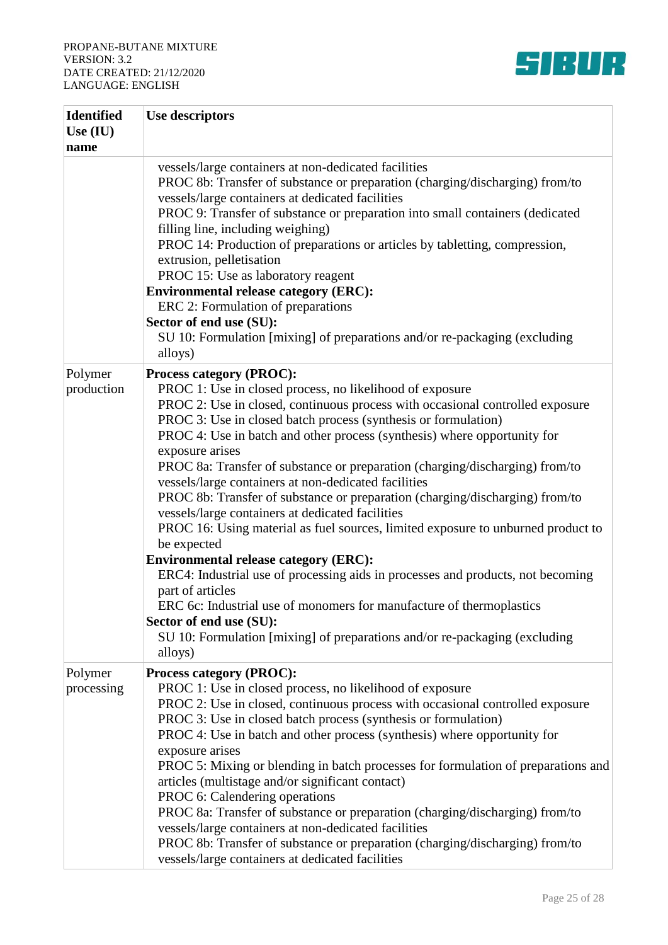

| <b>Identified</b><br>Use $(IU)$<br>name | <b>Use descriptors</b>                                                                                                                                                                                                                                                                                                                                                                                                                                                                                                                                                                                                                                                                                                                                                                                                                                                                                                                                                                                                                                                   |
|-----------------------------------------|--------------------------------------------------------------------------------------------------------------------------------------------------------------------------------------------------------------------------------------------------------------------------------------------------------------------------------------------------------------------------------------------------------------------------------------------------------------------------------------------------------------------------------------------------------------------------------------------------------------------------------------------------------------------------------------------------------------------------------------------------------------------------------------------------------------------------------------------------------------------------------------------------------------------------------------------------------------------------------------------------------------------------------------------------------------------------|
|                                         | vessels/large containers at non-dedicated facilities<br>PROC 8b: Transfer of substance or preparation (charging/discharging) from/to<br>vessels/large containers at dedicated facilities<br>PROC 9: Transfer of substance or preparation into small containers (dedicated<br>filling line, including weighing)<br>PROC 14: Production of preparations or articles by tabletting, compression,<br>extrusion, pelletisation<br>PROC 15: Use as laboratory reagent<br><b>Environmental release category (ERC):</b><br>ERC 2: Formulation of preparations<br>Sector of end use (SU):<br>SU 10: Formulation [mixing] of preparations and/or re-packaging (excluding<br>alloys)                                                                                                                                                                                                                                                                                                                                                                                                |
| Polymer<br>production                   | Process category (PROC):<br>PROC 1: Use in closed process, no likelihood of exposure<br>PROC 2: Use in closed, continuous process with occasional controlled exposure<br>PROC 3: Use in closed batch process (synthesis or formulation)<br>PROC 4: Use in batch and other process (synthesis) where opportunity for<br>exposure arises<br>PROC 8a: Transfer of substance or preparation (charging/discharging) from/to<br>vessels/large containers at non-dedicated facilities<br>PROC 8b: Transfer of substance or preparation (charging/discharging) from/to<br>vessels/large containers at dedicated facilities<br>PROC 16: Using material as fuel sources, limited exposure to unburned product to<br>be expected<br><b>Environmental release category (ERC):</b><br>ERC4: Industrial use of processing aids in processes and products, not becoming<br>part of articles<br>ERC 6c: Industrial use of monomers for manufacture of thermoplastics<br>Sector of end use (SU):<br>SU 10: Formulation [mixing] of preparations and/or re-packaging (excluding<br>alloys) |
| Polymer<br>processing                   | Process category (PROC):<br>PROC 1: Use in closed process, no likelihood of exposure<br>PROC 2: Use in closed, continuous process with occasional controlled exposure<br>PROC 3: Use in closed batch process (synthesis or formulation)<br>PROC 4: Use in batch and other process (synthesis) where opportunity for<br>exposure arises<br>PROC 5: Mixing or blending in batch processes for formulation of preparations and<br>articles (multistage and/or significant contact)<br>PROC 6: Calendering operations<br>PROC 8a: Transfer of substance or preparation (charging/discharging) from/to<br>vessels/large containers at non-dedicated facilities<br>PROC 8b: Transfer of substance or preparation (charging/discharging) from/to<br>vessels/large containers at dedicated facilities                                                                                                                                                                                                                                                                            |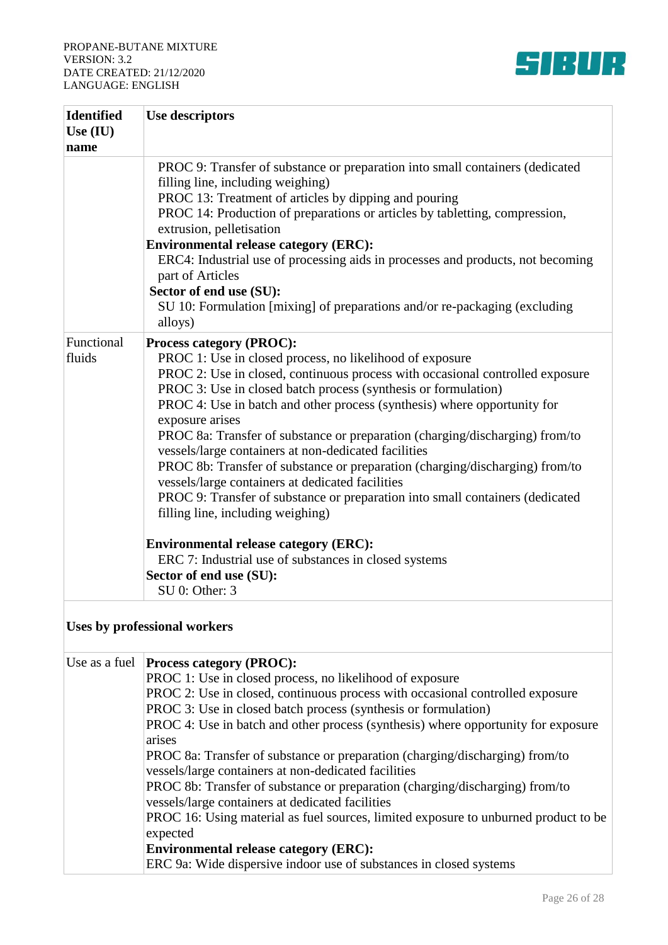

| PROC 9: Transfer of substance or preparation into small containers (dedicated<br>filling line, including weighing)<br>PROC 13: Treatment of articles by dipping and pouring<br>PROC 14: Production of preparations or articles by tabletting, compression,<br>extrusion, pelletisation<br><b>Environmental release category (ERC):</b>                                                                                                                                                                                                                                                                                                                                                                                                          |
|-------------------------------------------------------------------------------------------------------------------------------------------------------------------------------------------------------------------------------------------------------------------------------------------------------------------------------------------------------------------------------------------------------------------------------------------------------------------------------------------------------------------------------------------------------------------------------------------------------------------------------------------------------------------------------------------------------------------------------------------------|
| ERC4: Industrial use of processing aids in processes and products, not becoming<br>part of Articles<br>Sector of end use (SU):<br>SU 10: Formulation [mixing] of preparations and/or re-packaging (excluding<br>alloys)                                                                                                                                                                                                                                                                                                                                                                                                                                                                                                                         |
| <b>Process category (PROC):</b><br>PROC 1: Use in closed process, no likelihood of exposure<br>PROC 2: Use in closed, continuous process with occasional controlled exposure<br>PROC 3: Use in closed batch process (synthesis or formulation)<br>PROC 4: Use in batch and other process (synthesis) where opportunity for<br>exposure arises<br>PROC 8a: Transfer of substance or preparation (charging/discharging) from/to<br>vessels/large containers at non-dedicated facilities<br>PROC 8b: Transfer of substance or preparation (charging/discharging) from/to<br>vessels/large containers at dedicated facilities<br>PROC 9: Transfer of substance or preparation into small containers (dedicated<br>filling line, including weighing) |
| <b>Environmental release category (ERC):</b><br>ERC 7: Industrial use of substances in closed systems<br>Sector of end use (SU):<br>$SU 0$ : Other: 3                                                                                                                                                                                                                                                                                                                                                                                                                                                                                                                                                                                           |
| <b>Uses by professional workers</b>                                                                                                                                                                                                                                                                                                                                                                                                                                                                                                                                                                                                                                                                                                             |

| Use as a fuel <b>Process category (PROC):</b>                                                                                        |
|--------------------------------------------------------------------------------------------------------------------------------------|
| PROC 1: Use in closed process, no likelihood of exposure                                                                             |
| PROC 2: Use in closed, continuous process with occasional controlled exposure                                                        |
| PROC 3: Use in closed batch process (synthesis or formulation)                                                                       |
| PROC 4: Use in batch and other process (synthesis) where opportunity for exposure                                                    |
| arises                                                                                                                               |
| PROC 8a: Transfer of substance or preparation (charging/discharging) from/to<br>vessels/large containers at non-dedicated facilities |
| PROC 8b: Transfer of substance or preparation (charging/discharging) from/to<br>vessels/large containers at dedicated facilities     |
| PROC 16: Using material as fuel sources, limited exposure to unburned product to be<br>expected                                      |
| <b>Environmental release category (ERC):</b>                                                                                         |
| ERC 9a: Wide dispersive indoor use of substances in closed systems                                                                   |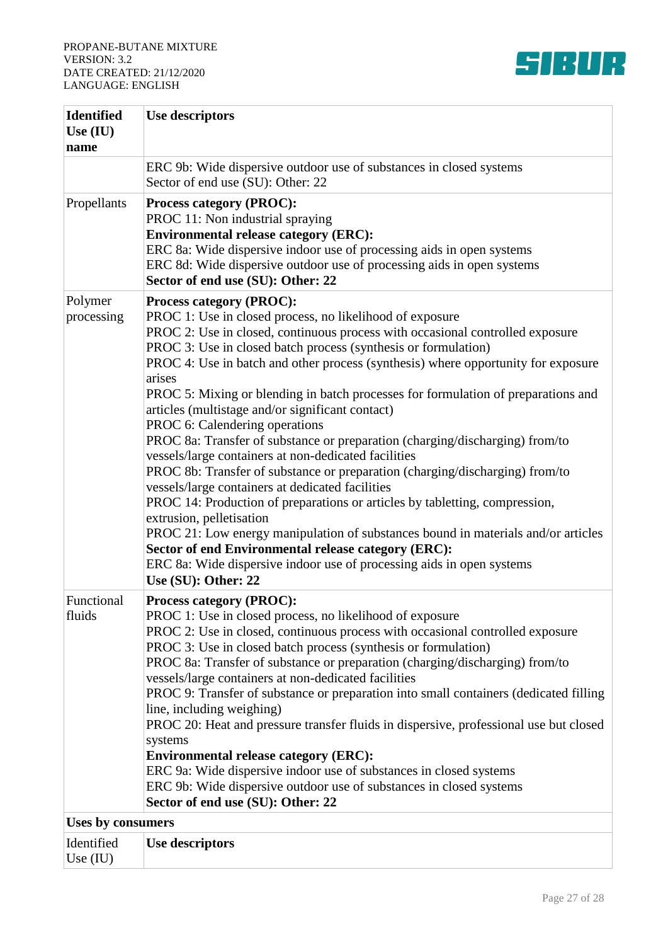

| <b>Identified</b><br>Use $(IU)$<br>name | <b>Use descriptors</b>                                                                                                                                                                                                                                                                                                                                                                                                                                                                                                                                                                                                                                                                                                                                                                                                                                                                                                                                                                                                                                                                                                                                      |  |
|-----------------------------------------|-------------------------------------------------------------------------------------------------------------------------------------------------------------------------------------------------------------------------------------------------------------------------------------------------------------------------------------------------------------------------------------------------------------------------------------------------------------------------------------------------------------------------------------------------------------------------------------------------------------------------------------------------------------------------------------------------------------------------------------------------------------------------------------------------------------------------------------------------------------------------------------------------------------------------------------------------------------------------------------------------------------------------------------------------------------------------------------------------------------------------------------------------------------|--|
|                                         | ERC 9b: Wide dispersive outdoor use of substances in closed systems<br>Sector of end use (SU): Other: 22                                                                                                                                                                                                                                                                                                                                                                                                                                                                                                                                                                                                                                                                                                                                                                                                                                                                                                                                                                                                                                                    |  |
| Propellants                             | <b>Process category (PROC):</b><br>PROC 11: Non industrial spraying<br><b>Environmental release category (ERC):</b><br>ERC 8a: Wide dispersive indoor use of processing aids in open systems<br>ERC 8d: Wide dispersive outdoor use of processing aids in open systems<br>Sector of end use (SU): Other: 22                                                                                                                                                                                                                                                                                                                                                                                                                                                                                                                                                                                                                                                                                                                                                                                                                                                 |  |
| Polymer<br>processing                   | <b>Process category (PROC):</b><br>PROC 1: Use in closed process, no likelihood of exposure<br>PROC 2: Use in closed, continuous process with occasional controlled exposure<br>PROC 3: Use in closed batch process (synthesis or formulation)<br>PROC 4: Use in batch and other process (synthesis) where opportunity for exposure<br>arises<br>PROC 5: Mixing or blending in batch processes for formulation of preparations and<br>articles (multistage and/or significant contact)<br>PROC 6: Calendering operations<br>PROC 8a: Transfer of substance or preparation (charging/discharging) from/to<br>vessels/large containers at non-dedicated facilities<br>PROC 8b: Transfer of substance or preparation (charging/discharging) from/to<br>vessels/large containers at dedicated facilities<br>PROC 14: Production of preparations or articles by tabletting, compression,<br>extrusion, pelletisation<br>PROC 21: Low energy manipulation of substances bound in materials and/or articles<br>Sector of end Environmental release category (ERC):<br>ERC 8a: Wide dispersive indoor use of processing aids in open systems<br>Use (SU): Other: 22 |  |
| Functional<br>fluids                    | Process category (PROC):<br>PROC 1: Use in closed process, no likelihood of exposure<br>PROC 2: Use in closed, continuous process with occasional controlled exposure<br>PROC 3: Use in closed batch process (synthesis or formulation)<br>PROC 8a: Transfer of substance or preparation (charging/discharging) from/to<br>vessels/large containers at non-dedicated facilities<br>PROC 9: Transfer of substance or preparation into small containers (dedicated filling<br>line, including weighing)<br>PROC 20: Heat and pressure transfer fluids in dispersive, professional use but closed<br>systems<br><b>Environmental release category (ERC):</b><br>ERC 9a: Wide dispersive indoor use of substances in closed systems<br>ERC 9b: Wide dispersive outdoor use of substances in closed systems<br>Sector of end use (SU): Other: 22                                                                                                                                                                                                                                                                                                                 |  |
| <b>Uses by consumers</b>                |                                                                                                                                                                                                                                                                                                                                                                                                                                                                                                                                                                                                                                                                                                                                                                                                                                                                                                                                                                                                                                                                                                                                                             |  |
| Identified<br>Use $(IU)$                | <b>Use descriptors</b>                                                                                                                                                                                                                                                                                                                                                                                                                                                                                                                                                                                                                                                                                                                                                                                                                                                                                                                                                                                                                                                                                                                                      |  |